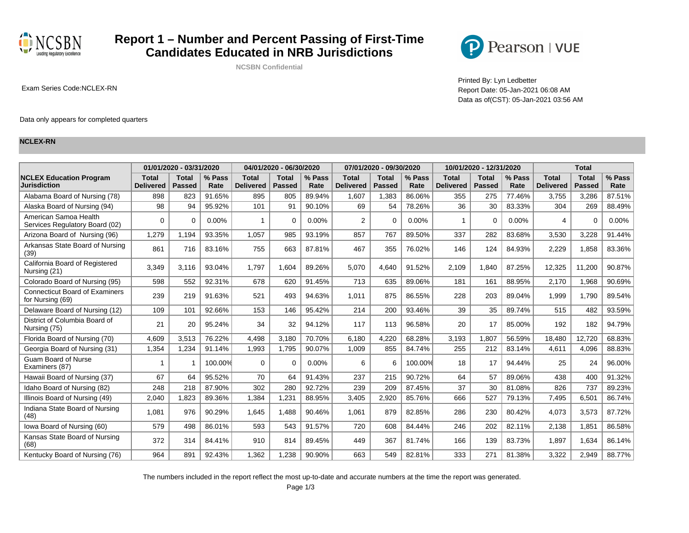

## **Report 1 – Number and Percent Passing of First-Time Candidates Educated in NRB Jurisdictions**

**NCSBN Confidential**



Printed By: Lyn Ledbetter Exam Series Code:NCLEX-RN Report Date: 05-Jan-2021 06:08 AM Data as of(CST): 05-Jan-2021 03:56 AM

#### Data only appears for completed quarters

#### **NCLEX-RN**

|                                                           |                                  | 01/01/2020 - 03/31/2020       |                |                                  | 04/01/2020 - 06/30/2020       |                |                                  | 07/01/2020 - 09/30/2020       |                |                                  | 10/01/2020 - 12/31/2020       |                |                                  | <b>Total</b>                  |                |
|-----------------------------------------------------------|----------------------------------|-------------------------------|----------------|----------------------------------|-------------------------------|----------------|----------------------------------|-------------------------------|----------------|----------------------------------|-------------------------------|----------------|----------------------------------|-------------------------------|----------------|
| <b>NCLEX Education Program</b><br>Jurisdiction            | <b>Total</b><br><b>Delivered</b> | <b>Total</b><br><b>Passed</b> | % Pass<br>Rate | <b>Total</b><br><b>Delivered</b> | <b>Total</b><br><b>Passed</b> | % Pass<br>Rate | <b>Total</b><br><b>Delivered</b> | <b>Total</b><br><b>Passed</b> | % Pass<br>Rate | <b>Total</b><br><b>Delivered</b> | <b>Total</b><br><b>Passed</b> | % Pass<br>Rate | <b>Total</b><br><b>Delivered</b> | <b>Total</b><br><b>Passed</b> | % Pass<br>Rate |
| Alabama Board of Nursing (78)                             | 898                              | 823                           | 91.65%         | 895                              | 805                           | 89.94%         | 1,607                            | 1,383                         | 86.06%         | 355                              | 275                           | 77.46%         | 3,755                            | 3,286                         | 87.51%         |
| Alaska Board of Nursing (94)                              | 98                               | 94                            | 95.92%         | 101                              | 91                            | 90.10%         | 69                               | 54                            | 78.26%         | 36                               | 30                            | 83.33%         | 304                              | 269                           | 88.49%         |
| American Samoa Health<br>Services Regulatory Board (02)   | $\Omega$                         | $\Omega$                      | 0.00%          | 1                                | 0                             | 0.00%          | 2                                | $\Omega$                      | 0.00%          |                                  | $\Omega$                      | $0.00\%$       | 4                                | ∩                             | 0.00%          |
| Arizona Board of Nursing (96)                             | 1,279                            | 1,194                         | 93.35%         | 1,057                            | 985                           | 93.19%         | 857                              | 767                           | 89.50%         | 337                              | 282                           | 83.68%         | 3,530                            | 3,228                         | 91.44%         |
| Arkansas State Board of Nursing<br>(39)                   | 861                              | 716                           | 83.16%         | 755                              | 663                           | 87.81%         | 467                              | 355                           | 76.02%         | 146                              | 124                           | 84.93%         | 2,229                            | 1,858                         | 83.36%         |
| California Board of Registered<br>Nursing (21)            | 3,349                            | 3,116                         | 93.04%         | 1.797                            | 1,604                         | 89.26%         | 5,070                            | 4,640                         | 91.52%         | 2,109                            | 1,840                         | 87.25%         | 12,325                           | 11,200                        | 90.87%         |
| Colorado Board of Nursing (95)                            | 598                              | 552                           | 92.31%         | 678                              | 620                           | 91.45%         | 713                              | 635                           | 89.06%         | 181                              | 161                           | 88.95%         | 2,170                            | 1,968                         | 90.69%         |
| <b>Connecticut Board of Examiners</b><br>for Nursing (69) | 239                              | 219                           | 91.63%         | 521                              | 493                           | 94.63%         | 1,011                            | 875                           | 86.55%         | 228                              | 203                           | 89.04%         | 1,999                            | 1.790                         | 89.54%         |
| Delaware Board of Nursing (12)                            | 109                              | 101                           | 92.66%         | 153                              | 146                           | 95.42%         | 214                              | 200                           | 93.46%         | 39                               | 35                            | 89.74%         | 515                              | 482                           | 93.59%         |
| District of Columbia Board of<br>Nursing (75)             | 21                               | 20                            | 95.24%         | 34                               | 32                            | 94.12%         | 117                              | 113                           | 96.58%         | 20                               | 17                            | 85.00%         | 192                              | 182                           | 94.79%         |
| Florida Board of Nursing (70)                             | 4.609                            | 3,513                         | 76.22%         | 4.498                            | 3,180                         | 70.70%         | 6.180                            | 4,220                         | 68.28%         | 3,193                            | 1.807                         | 56.59%         | 18,480                           | 12,720                        | 68.83%         |
| Georgia Board of Nursing (31)                             | 1.354                            | 1.234                         | 91.14%         | 1.993                            | 1.795                         | 90.07%         | 1.009                            | 855                           | 84.74%         | 255                              | 212                           | 83.14%         | 4.611                            | 4.096                         | 88.83%         |
| <b>Guam Board of Nurse</b><br>Examiners (87)              | -1                               | 1                             | 100.00%        | $\Omega$                         | $\Omega$                      | 0.00%          | 6                                | 6                             | 100.00%        | 18                               | 17                            | 94.44%         | 25                               | 24                            | 96.00%         |
| Hawaii Board of Nursing (37)                              | 67                               | 64                            | 95.52%         | 70                               | 64                            | 91.43%         | 237                              | 215                           | 90.72%         | 64                               | 57                            | 89.06%         | 438                              | 400                           | 91.32%         |
| Idaho Board of Nursing (82)                               | 248                              | 218                           | 87.90%         | 302                              | 280                           | 92.72%         | 239                              | 209                           | 87.45%         | 37                               | 30                            | 81.08%         | 826                              | 737                           | 89.23%         |
| Illinois Board of Nursing (49)                            | 2.040                            | 1.823                         | 89.36%         | 1.384                            | 1,231                         | 88.95%         | 3.405                            | 2.920                         | 85.76%         | 666                              | 527                           | 79.13%         | 7,495                            | 6.501                         | 86.74%         |
| Indiana State Board of Nursing<br>(48)                    | 1,081                            | 976                           | 90.29%         | 1.645                            | 1.488                         | 90.46%         | 1.061                            | 879                           | 82.85%         | 286                              | 230                           | 80.42%         | 4,073                            | 3.573                         | 87.72%         |
| Iowa Board of Nursing (60)                                | 579                              | 498                           | 86.01%         | 593                              | 543                           | 91.57%         | 720                              | 608                           | 84.44%         | 246                              | 202                           | 82.11%         | 2,138                            | 1.851                         | 86.58%         |
| Kansas State Board of Nursing<br>(68)                     | 372                              | 314                           | 84.41%         | 910                              | 814                           | 89.45%         | 449                              | 367                           | 81.74%         | 166                              | 139                           | 83.73%         | 1,897                            | 1.634                         | 86.14%         |
| Kentucky Board of Nursing (76)                            | 964                              | 891                           | 92.43%         | 1,362                            | 1,238                         | 90.90%         | 663                              | 549                           | 82.81%         | 333                              | 271                           | 81.38%         | 3,322                            | 2,949                         | 88.77%         |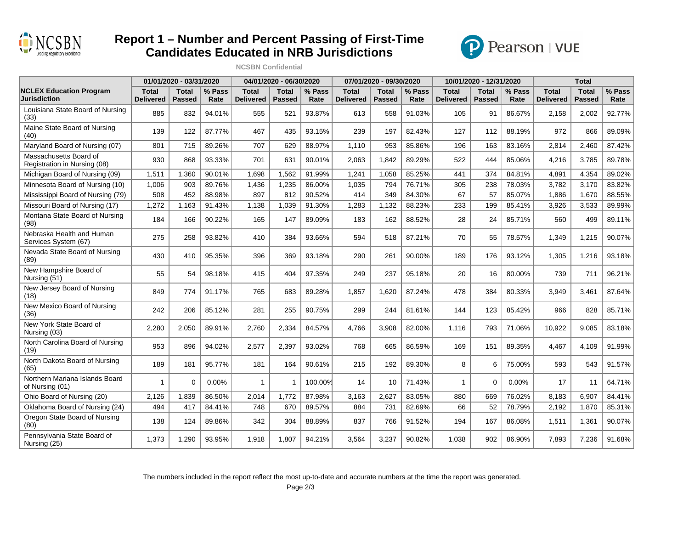

## **Report 1 – Number and Percent Passing of First-Time Candidates Educated in NRB Jurisdictions**

**NCSBN Confidential**



|                                                        |                                  | 01/01/2020 - 03/31/2020 |                |                                  | 04/01/2020 - 06/30/2020       |                |                                  | 07/01/2020 - 09/30/2020 |                |                                  | 10/01/2020 - 12/31/2020       |                |                                  | <b>Total</b>                  |                |
|--------------------------------------------------------|----------------------------------|-------------------------|----------------|----------------------------------|-------------------------------|----------------|----------------------------------|-------------------------|----------------|----------------------------------|-------------------------------|----------------|----------------------------------|-------------------------------|----------------|
| <b>NCLEX Education Program</b><br><b>Jurisdiction</b>  | <b>Total</b><br><b>Delivered</b> | Total<br><b>Passed</b>  | % Pass<br>Rate | <b>Total</b><br><b>Delivered</b> | <b>Total</b><br><b>Passed</b> | % Pass<br>Rate | <b>Total</b><br><b>Delivered</b> | Total<br><b>Passed</b>  | % Pass<br>Rate | <b>Total</b><br><b>Delivered</b> | <b>Total</b><br><b>Passed</b> | % Pass<br>Rate | <b>Total</b><br><b>Delivered</b> | <b>Total</b><br><b>Passed</b> | % Pass<br>Rate |
| Louisiana State Board of Nursing<br>(33)               | 885                              | 832                     | 94.01%         | 555                              | 521                           | 93.87%         | 613                              | 558                     | 91.03%         | 105                              | 91                            | 86.67%         | 2,158                            | 2,002                         | 92.77%         |
| Maine State Board of Nursing<br>(40)                   | 139                              | 122                     | 87.77%         | 467                              | 435                           | 93.15%         | 239                              | 197                     | 82.43%         | 127                              | 112                           | 88.19%         | 972                              | 866                           | 89.09%         |
| Maryland Board of Nursing (07)                         | 801                              | 715                     | 89.26%         | 707                              | 629                           | 88.97%         | 1,110                            | 953                     | 85.86%         | 196                              | 163                           | 83.16%         | 2,814                            | 2,460                         | 87.42%         |
| Massachusetts Board of<br>Registration in Nursing (08) | 930                              | 868                     | 93.33%         | 701                              | 631                           | 90.01%         | 2,063                            | 1,842                   | 89.29%         | 522                              | 444                           | 85.06%         | 4,216                            | 3,785                         | 89.78%         |
| Michigan Board of Nursing (09)                         | 1,511                            | 1.360                   | 90.01%         | 1.698                            | 1,562                         | 91.99%         | 1.241                            | 1.058                   | 85.25%         | 441                              | 374                           | 84.81%         | 4.891                            | 4.354                         | 89.02%         |
| Minnesota Board of Nursing (10)                        | 1,006                            | 903                     | 89.76%         | 1,436                            | 1,235                         | 86.00%         | 1,035                            | 794                     | 76.71%         | 305                              | 238                           | 78.03%         | 3,782                            | 3,170                         | 83.82%         |
| Mississippi Board of Nursing (79)                      | 508                              | 452                     | 88.98%         | 897                              | 812                           | 90.52%         | 414                              | 349                     | 84.30%         | 67                               | 57                            | 85.07%         | 1,886                            | 1,670                         | 88.55%         |
| Missouri Board of Nursing (17)                         | 1,272                            | 1,163                   | 91.43%         | 1,138                            | 1,039                         | 91.30%         | 1,283                            | 1,132                   | 88.23%         | 233                              | 199                           | 85.41%         | 3,926                            | 3,533                         | 89.99%         |
| Montana State Board of Nursing<br>(98)                 | 184                              | 166                     | 90.22%         | 165                              | 147                           | 89.09%         | 183                              | 162                     | 88.52%         | 28                               | 24                            | 85.71%         | 560                              | 499                           | 89.11%         |
| Nebraska Health and Human<br>Services System (67)      | 275                              | 258                     | 93.82%         | 410                              | 384                           | 93.66%         | 594                              | 518                     | 87.21%         | 70                               | 55                            | 78.57%         | 1,349                            | 1,215                         | 90.07%         |
| Nevada State Board of Nursing<br>(89)                  | 430                              | 410                     | 95.35%         | 396                              | 369                           | 93.18%         | 290                              | 261                     | 90.00%         | 189                              | 176                           | 93.12%         | 1,305                            | 1,216                         | 93.18%         |
| New Hampshire Board of<br>Nursing (51)                 | 55                               | 54                      | 98.18%         | 415                              | 404                           | 97.35%         | 249                              | 237                     | 95.18%         | 20                               | 16                            | 80.00%         | 739                              | 711                           | 96.21%         |
| New Jersey Board of Nursing<br>(18)                    | 849                              | 774                     | 91.17%         | 765                              | 683                           | 89.28%         | 1,857                            | 1,620                   | 87.24%         | 478                              | 384                           | 80.33%         | 3,949                            | 3,461                         | 87.64%         |
| New Mexico Board of Nursing<br>(36)                    | 242                              | 206                     | 85.12%         | 281                              | 255                           | 90.75%         | 299                              | 244                     | 81.61%         | 144                              | 123                           | 85.42%         | 966                              | 828                           | 85.71%         |
| New York State Board of<br>Nursing (03)                | 2,280                            | 2,050                   | 89.91%         | 2,760                            | 2,334                         | 84.57%         | 4,766                            | 3,908                   | 82.00%         | 1,116                            | 793                           | 71.06%         | 10,922                           | 9,085                         | 83.18%         |
| North Carolina Board of Nursing<br>(19)                | 953                              | 896                     | 94.02%         | 2,577                            | 2,397                         | 93.02%         | 768                              | 665                     | 86.59%         | 169                              | 151                           | 89.35%         | 4,467                            | 4.109                         | 91.99%         |
| North Dakota Board of Nursing<br>(65)                  | 189                              | 181                     | 95.77%         | 181                              | 164                           | 90.61%         | 215                              | 192                     | 89.30%         | 8                                | 6                             | 75.00%         | 593                              | 543                           | 91.57%         |
| Northern Mariana Islands Board<br>of Nursing (01)      | 1                                | $\mathbf 0$             | 0.00%          | $\mathbf{1}$                     | 1                             | 100.00%        | 14                               | 10                      | 71.43%         | 1                                | $\Omega$                      | 0.00%          | 17                               | 11                            | 64.71%         |
| Ohio Board of Nursing (20)                             | 2,126                            | 1,839                   | 86.50%         | 2,014                            | 1,772                         | 87.98%         | 3,163                            | 2,627                   | 83.05%         | 880                              | 669                           | 76.02%         | 8,183                            | 6,907                         | 84.41%         |
| Oklahoma Board of Nursing (24)                         | 494                              | 417                     | 84.41%         | 748                              | 670                           | 89.57%         | 884                              | 731                     | 82.69%         | 66                               | 52                            | 78.79%         | 2,192                            | 1,870                         | 85.31%         |
| Oregon State Board of Nursing<br>(80)                  | 138                              | 124                     | 89.86%         | 342                              | 304                           | 88.89%         | 837                              | 766                     | 91.52%         | 194                              | 167                           | 86.08%         | 1,511                            | 1,361                         | 90.07%         |
| Pennsylvania State Board of<br>Nursing (25)            | 1,373                            | 1,290                   | 93.95%         | 1,918                            | 1,807                         | 94.21%         | 3,564                            | 3,237                   | 90.82%         | 1,038                            | 902                           | 86.90%         | 7,893                            | 7,236                         | 91.68%         |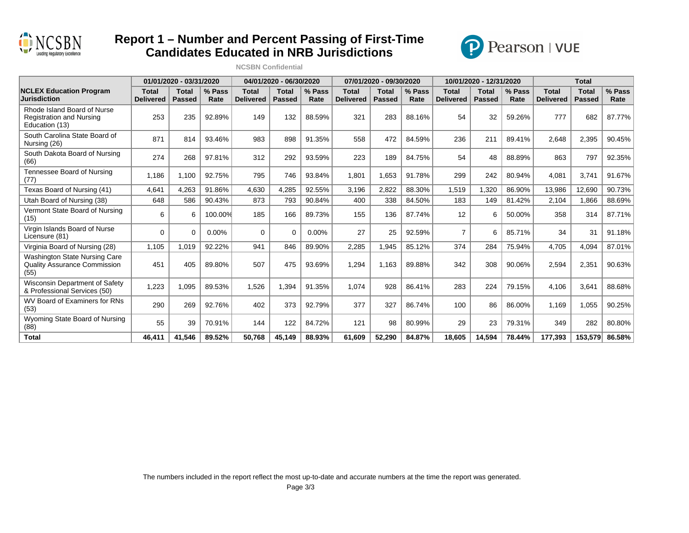

## **Report 1 – Number and Percent Passing of First-Time Candidates Educated in NRB Jurisdictions**





|                                                                                     |                                  | 01/01/2020 - 03/31/2020       |                |                                  | 04/01/2020 - 06/30/2020       |                |                                  | 07/01/2020 - 09/30/2020 |                |                                  | 10/01/2020 - 12/31/2020       |                |                                  | <b>Total</b>                  |                |
|-------------------------------------------------------------------------------------|----------------------------------|-------------------------------|----------------|----------------------------------|-------------------------------|----------------|----------------------------------|-------------------------|----------------|----------------------------------|-------------------------------|----------------|----------------------------------|-------------------------------|----------------|
| <b>NCLEX Education Program</b><br>Jurisdiction                                      | <b>Total</b><br><b>Delivered</b> | <b>Total</b><br><b>Passed</b> | % Pass<br>Rate | <b>Total</b><br><b>Delivered</b> | <b>Total</b><br><b>Passed</b> | % Pass<br>Rate | <b>Total</b><br><b>Delivered</b> | Total<br>Passed         | % Pass<br>Rate | <b>Total</b><br><b>Delivered</b> | <b>Total</b><br><b>Passed</b> | % Pass<br>Rate | <b>Total</b><br><b>Delivered</b> | <b>Total</b><br><b>Passed</b> | % Pass<br>Rate |
| Rhode Island Board of Nurse<br><b>Registration and Nursing</b><br>Education (13)    | 253                              | 235                           | 92.89%         | 149                              | 132                           | 88.59%         | 321                              | 283                     | 88.16%         | 54                               | 32                            | 59.26%         | 777                              | 682                           | 87.77%         |
| South Carolina State Board of<br>Nursing (26)                                       | 871                              | 814                           | 93.46%         | 983                              | 898                           | 91.35%         | 558                              | 472                     | 84.59%         | 236                              | 211                           | 89.41%         | 2,648                            | 2,395                         | 90.45%         |
| South Dakota Board of Nursing<br>(66)                                               | 274                              | 268                           | 97.81%         | 312                              | 292                           | 93.59%         | 223                              | 189                     | 84.75%         | 54                               | 48                            | 88.89%         | 863                              | 797                           | 92.35%         |
| Tennessee Board of Nursing<br>(77)                                                  | 1.186                            | 1.100                         | 92.75%         | 795                              | 746                           | 93.84%         | 1,801                            | 1.653                   | 91.78%         | 299                              | 242                           | 80.94%         | 4,081                            | 3.741                         | 91.67%         |
| Texas Board of Nursing (41)                                                         | 4,641                            | 4,263                         | 91.86%         | 4.630                            | 4,285                         | 92.55%         | 3,196                            | 2,822                   | 88.30%         | 1,519                            | 1,320                         | 86.90%         | 13,986                           | 12,690                        | 90.73%         |
| Utah Board of Nursing (38)                                                          | 648                              | 586                           | 90.43%         | 873                              | 793                           | 90.84%         | 400                              | 338                     | 84.50%         | 183                              | 149                           | 81.42%         | 2.104                            | 1.866                         | 88.69%         |
| Vermont State Board of Nursing<br>(15)                                              | 6                                | 6                             | 100.00%        | 185                              | 166                           | 89.73%         | 155                              | 136                     | 87.74%         | 12                               | 6                             | 50.00%         | 358                              | 314                           | 87.71%         |
| Virgin Islands Board of Nurse<br>Licensure (81)                                     | $\Omega$                         | $\Omega$                      | 0.00%          | $\Omega$                         | $\Omega$                      | $0.00\%$       | 27                               | 25                      | 92.59%         | $\overline{7}$                   | 6                             | 85.71%         | 34                               | 31                            | 91.18%         |
| Virginia Board of Nursing (28)                                                      | 1,105                            | 1,019                         | 92.22%         | 941                              | 846                           | 89.90%         | 2,285                            | 1,945                   | 85.12%         | 374                              | 284                           | 75.94%         | 4,705                            | 4,094                         | 87.01%         |
| <b>Washington State Nursing Care</b><br><b>Quality Assurance Commission</b><br>(55) | 451                              | 405                           | 89.80%         | 507                              | 475                           | 93.69%         | 1,294                            | 1,163                   | 89.88%         | 342                              | 308                           | 90.06%         | 2,594                            | 2,351                         | 90.63%         |
| Wisconsin Department of Safety<br>& Professional Services (50)                      | 1,223                            | 1,095                         | 89.53%         | 1,526                            | 1,394                         | 91.35%         | 1,074                            | 928                     | 86.41%         | 283                              | 224                           | 79.15%         | 4,106                            | 3,641                         | 88.68%         |
| WV Board of Examiners for RNs<br>(53)                                               | 290                              | 269                           | 92.76%         | 402                              | 373                           | 92.79%         | 377                              | 327                     | 86.74%         | 100                              | 86                            | 86.00%         | 1,169                            | 1,055                         | 90.25%         |
| Wyoming State Board of Nursing<br>(88)                                              | 55                               | 39                            | 70.91%         | 144                              | 122                           | 84.72%         | 121                              | 98                      | 80.99%         | 29                               | 23                            | 79.31%         | 349                              | 282                           | 80.80%         |
| <b>Total</b>                                                                        | 46,411                           | 41,546                        | 89.52%         | 50,768                           | 45,149                        | 88.93%         | 61,609                           | 52,290                  | 84.87%         | 18,605                           | 14,594                        | 78.44%         | 177,393                          | 153,579                       | 86.58%         |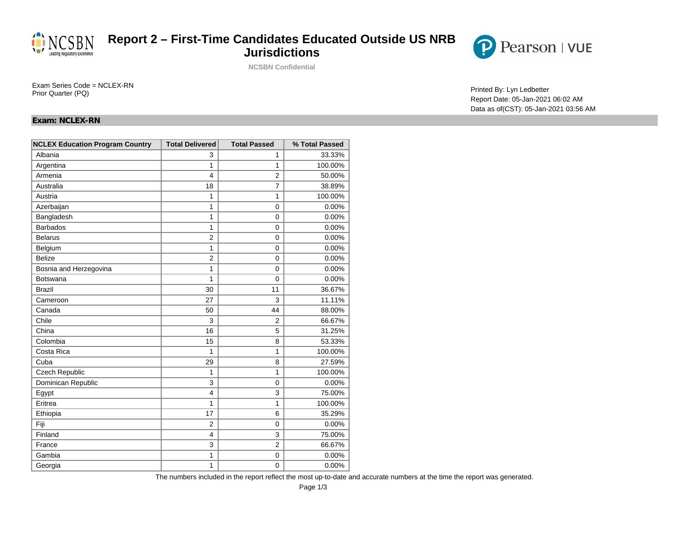

### **Report 2 – First-Time Candidates Educated Outside US NRB Jurisdictions**

**NCSBN Confidential**



Report Date: 05-Jan-2021 06:02 AM Data as of(CST): 05-Jan-2021 03:56 AM

Printed By: Lyn Ledbetter Exam Series Code = NCLEX-RN<br>Printed By: Lyn Ledbetter Prior Quarter (PQ)

### **Exam: NCLEX-RN**

| <b>NCLEX Education Program Country</b> | <b>Total Delivered</b>  | <b>Total Passed</b> | % Total Passed |
|----------------------------------------|-------------------------|---------------------|----------------|
| Albania                                | 3                       | 1                   | 33.33%         |
| Argentina                              | 1                       | 1                   | 100.00%        |
| Armenia                                | $\overline{\mathbf{A}}$ | $\overline{2}$      | 50.00%         |
| Australia                              | 18                      | $\overline{7}$      | 38.89%         |
| Austria                                | 1                       | 1                   | 100.00%        |
| Azerbaijan                             | 1                       | $\Omega$            | 0.00%          |
| Bangladesh                             | 1                       | $\Omega$            | 0.00%          |
| <b>Barbados</b>                        | $\mathbf{1}$            | 0                   | 0.00%          |
| <b>Belarus</b>                         | $\overline{2}$          | 0                   | 0.00%          |
| Belgium                                | 1                       | 0                   | 0.00%          |
| <b>Belize</b>                          | $\overline{2}$          | 0                   | 0.00%          |
| Bosnia and Herzegovina                 | $\mathbf{1}$            | 0                   | 0.00%          |
| <b>Botswana</b>                        | 1                       | $\mathbf{0}$        | 0.00%          |
| <b>Brazil</b>                          | 30                      | 11                  | 36.67%         |
| Cameroon                               | 27                      | 3                   | 11.11%         |
| Canada                                 | 50                      | 44                  | 88.00%         |
| Chile                                  | 3                       | $\overline{2}$      | 66.67%         |
| China                                  | 16                      | 5                   | 31.25%         |
| Colombia                               | 15                      | 8                   | 53.33%         |
| Costa Rica                             | 1                       | 1                   | 100.00%        |
| Cuba                                   | 29                      | 8                   | 27.59%         |
| Czech Republic                         | 1                       | 1                   | 100.00%        |
| Dominican Republic                     | 3                       | $\mathbf{0}$        | 0.00%          |
| Egypt                                  | $\overline{\mathbf{4}}$ | 3                   | 75.00%         |
| Eritrea                                | 1                       | 1                   | 100.00%        |
| Ethiopia                               | 17                      | 6                   | 35.29%         |
| Fiji                                   | $\overline{2}$          | $\Omega$            | 0.00%          |
| Finland                                | $\overline{4}$          | 3                   | 75.00%         |
| France                                 | 3                       | $\overline{2}$      | 66.67%         |
| Gambia                                 | 1                       | $\Omega$            | 0.00%          |
| Georgia                                | 1                       | 0                   | 0.00%          |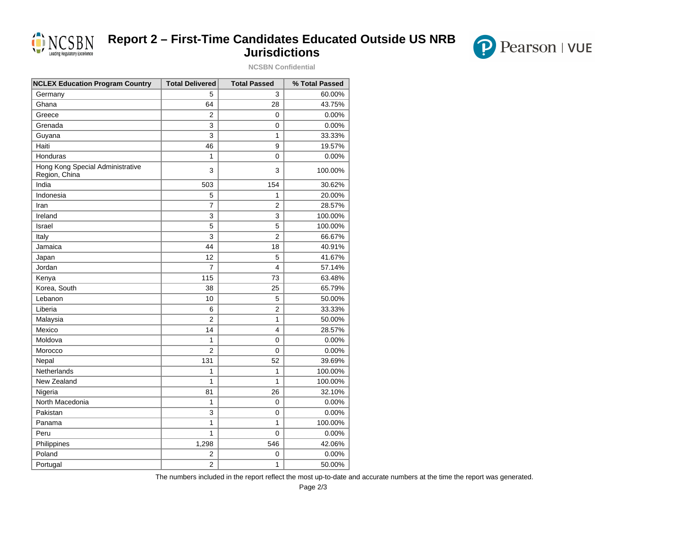

# **Report 2 – First-Time Candidates Educated Outside US NRB Jurisdictions**

**NCSBN Confidential**



| <b>NCLEX Education Program Country</b>            | <b>Total Delivered</b> | <b>Total Passed</b> | % Total Passed |
|---------------------------------------------------|------------------------|---------------------|----------------|
| Germany                                           | 5                      | 3                   | 60.00%         |
| Ghana                                             | 64                     | 28                  | 43.75%         |
| Greece                                            | $\overline{2}$         | 0                   | 0.00%          |
| Grenada                                           | 3                      | 0                   | 0.00%          |
| Guyana                                            | 3                      | $\mathbf{1}$        | 33.33%         |
| Haiti                                             | 46                     | 9                   | 19.57%         |
| Honduras                                          | 1                      | 0                   | 0.00%          |
| Hong Kong Special Administrative<br>Region, China | 3                      | 3                   | 100.00%        |
| India                                             | 503                    | 154                 | 30.62%         |
| Indonesia                                         | 5                      | 1                   | 20.00%         |
| Iran                                              | $\overline{7}$         | $\overline{2}$      | 28.57%         |
| Ireland                                           | 3                      | 3                   | 100.00%        |
| Israel                                            | 5                      | 5                   | 100.00%        |
| Italy                                             | 3                      | $\overline{2}$      | 66.67%         |
| Jamaica                                           | 44                     | 18                  | 40.91%         |
| Japan                                             | 12                     | 5                   | 41.67%         |
| Jordan                                            | $\overline{7}$         | 4                   | 57.14%         |
| Kenya                                             | 115                    | 73                  | 63.48%         |
| Korea, South                                      | 38                     | 25                  | 65.79%         |
| Lebanon                                           | 10                     | 5                   | 50.00%         |
| Liberia                                           | 6                      | $\overline{2}$      | 33.33%         |
| Malaysia                                          | $\overline{2}$         | $\mathbf{1}$        | 50.00%         |
| Mexico                                            | 14                     | 4                   | 28.57%         |
| Moldova                                           | 1                      | 0                   | 0.00%          |
| Morocco                                           | $\overline{2}$         | 0                   | 0.00%          |
| Nepal                                             | 131                    | 52                  | 39.69%         |
| <b>Netherlands</b>                                | 1                      | 1                   | 100.00%        |
| New Zealand                                       | 1                      | $\mathbf{1}$        | 100.00%        |
| Nigeria                                           | 81                     | 26                  | 32.10%         |
| North Macedonia                                   | 1                      | 0                   | 0.00%          |
| Pakistan                                          | 3                      | 0                   | 0.00%          |
| Panama                                            | 1                      | 1                   | 100.00%        |
| Peru                                              | 1                      | 0                   | 0.00%          |
| Philippines                                       | 1,298                  | 546                 | 42.06%         |
| Poland                                            | 2                      | 0                   | 0.00%          |
| Portugal                                          | $\overline{c}$         | 1                   | 50.00%         |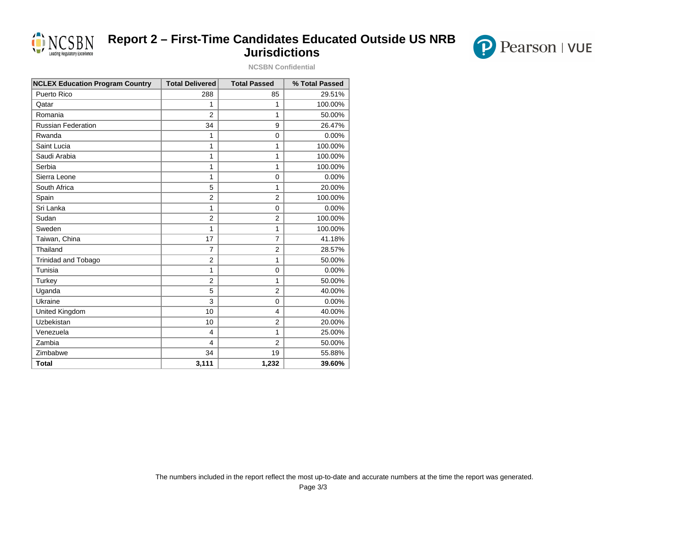

# **Report 2 – First-Time Candidates Educated Outside US NRB Jurisdictions**

**NCSBN Confidential**



| <b>NCLEX Education Program Country</b> | <b>Total Delivered</b>  | <b>Total Passed</b> | % Total Passed |
|----------------------------------------|-------------------------|---------------------|----------------|
| Puerto Rico                            | 288                     | 85                  | 29.51%         |
| Qatar                                  | 1                       | 1                   | 100.00%        |
| Romania                                | $\overline{2}$          | 1                   | 50.00%         |
| Russian Federation                     | 34                      | 9                   | 26.47%         |
| Rwanda                                 | 1                       | $\Omega$            | 0.00%          |
| Saint Lucia                            | 1                       | 1                   | 100.00%        |
| Saudi Arabia                           | 1                       | 1                   | 100.00%        |
| Serbia                                 | 1                       | 1                   | 100.00%        |
| Sierra Leone                           | 1                       | $\Omega$            | 0.00%          |
| South Africa                           | 5                       | 1                   | 20.00%         |
| Spain                                  | $\overline{2}$          | $\overline{2}$      | 100.00%        |
| Sri Lanka                              | 1                       | $\Omega$            | 0.00%          |
| Sudan                                  | $\overline{2}$          | $\overline{2}$      | 100.00%        |
| Sweden                                 | 1                       | 1                   | 100.00%        |
| Taiwan, China                          | 17                      | $\overline{7}$      | 41.18%         |
| Thailand                               | $\overline{7}$          | $\overline{2}$      | 28.57%         |
| Trinidad and Tobago                    | $\overline{2}$          | 1                   | 50.00%         |
| Tunisia                                | 1                       | $\mathbf 0$         | 0.00%          |
| Turkey                                 | $\overline{2}$          | 1                   | 50.00%         |
| Uganda                                 | 5                       | $\overline{2}$      | 40.00%         |
| Ukraine                                | 3                       | $\Omega$            | 0.00%          |
| United Kingdom                         | 10                      | 4                   | 40.00%         |
| Uzbekistan                             | 10                      | $\overline{2}$      | 20.00%         |
| Venezuela                              | 4                       | 1                   | 25.00%         |
| Zambia                                 | $\overline{\mathbf{4}}$ | $\overline{2}$      | 50.00%         |
| Zimbabwe                               | 34                      | 19                  | 55.88%         |
| <b>Total</b>                           | 3,111                   | 1,232               | 39.60%         |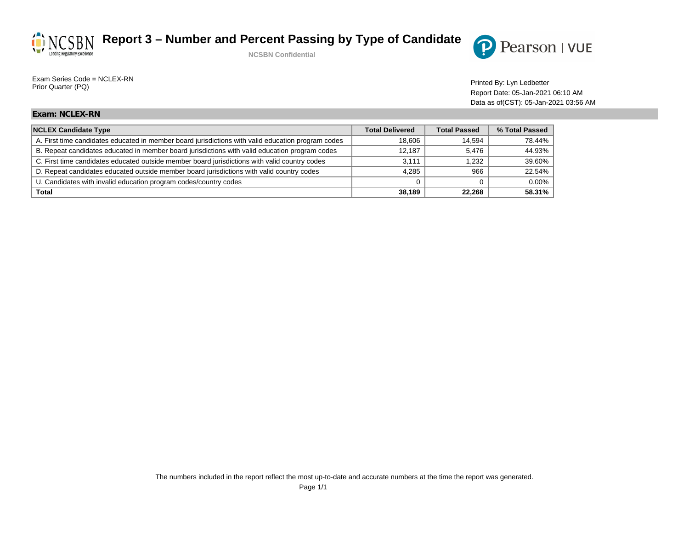



Printed By: Lyn Ledbetter Exam Series Code = NCLEX-RN<br>Printed By: Lyn Ledbetter Prior Quarter (PQ)

Report Date: 05-Jan-2021 06:10 AM Data as of(CST): 05-Jan-2021 03:56 AM

### **Exam: NCLEX-RN**

| <b>NCLEX Candidate Type</b>                                                                        | <b>Total Delivered</b> | <b>Total Passed</b> | % Total Passed |
|----------------------------------------------------------------------------------------------------|------------------------|---------------------|----------------|
| A. First time candidates educated in member board jurisdictions with valid education program codes | 18.606                 | 14.594              | 78.44%         |
| B. Repeat candidates educated in member board jurisdictions with valid education program codes     | 12.187                 | 5.476               | 44.93%         |
| C. First time candidates educated outside member board jurisdictions with valid country codes      | 3.111                  | .232                | 39.60%         |
| D. Repeat candidates educated outside member board jurisdictions with valid country codes          | 4.285                  | 966                 | 22.54%         |
| U. Candidates with invalid education program codes/country codes                                   |                        |                     | $0.00\%$       |
| <b>Total</b>                                                                                       | 38.189                 | 22.268              | 58.31%         |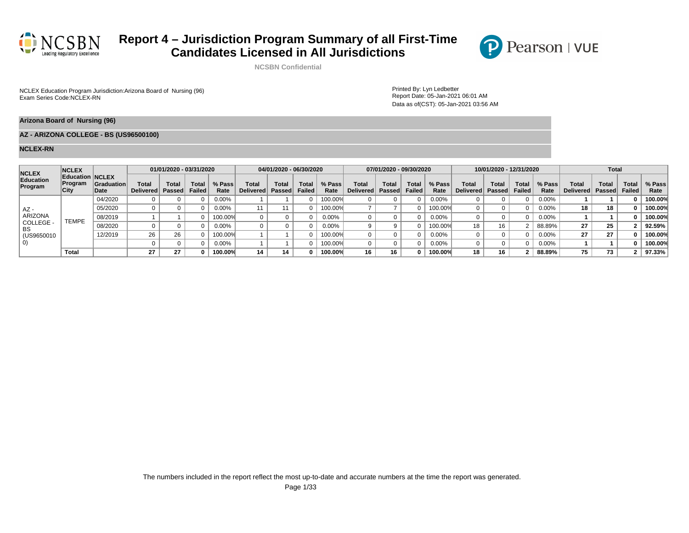

**NCSBN Confidential**

NCLEX Education Program Jurisdiction:Arizona Board of Nursing (96)<br>Exam Series Code:NCLEX-RN<br>Web The Nursing (96) Nursing (96) Nursing (97) Nursing (97) Nursing (97) Nursing Series Code:NCLEX-RN

Report Date: 05-Jan-2021 06:01 AM Data as of(CST): 05-Jan-2021 03:56 AM

 $\mathbf P$ 

Pearson | VUE

#### **Arizona Board of Nursing (96)**

### **AZ - ARIZONA COLLEGE - BS (US96500100)**

| <b>NCLEX</b>         | <b>NCLEX</b>                               |                    |                           | 01/01/2020 - 03/31/2020 |                        |                  |                             | 04/01/2020 - 06/30/2020 |                       |                |                    | 07/01/2020 - 09/30/2020       |                |                |                           | 10/01/2020 - 12/31/2020 |                 |                |                    | <b>Total</b>           |                        |                |
|----------------------|--------------------------------------------|--------------------|---------------------------|-------------------------|------------------------|------------------|-----------------------------|-------------------------|-----------------------|----------------|--------------------|-------------------------------|----------------|----------------|---------------------------|-------------------------|-----------------|----------------|--------------------|------------------------|------------------------|----------------|
| Education<br>Program | Education NCLEX<br><b>Program</b><br>∣City | Graduation<br>Date | <b>Total</b><br>Delivered | Total<br>Passed         | <b>Total</b><br>Failed | $%$ Pass<br>Rate | Total<br>Delivered   Passed | <b>Total</b>            | Tota<br><b>Failed</b> | % Pass<br>Rate | Total<br>Delivered | <b>Total</b><br><b>Passed</b> | Tota<br>Failed | % Pass<br>Rate | <b>Total</b><br>Delivered | Total<br>Passed         | Total<br>Failed | % Pass<br>Rate | Total<br>Delivered | <b>Total</b><br>Passed | Total<br><b>Failed</b> | % Pass<br>Rate |
|                      |                                            | 04/2020            |                           |                         |                        | 0.00%            |                             |                         |                       | 100.00%        |                    |                               |                | 0.00%          |                           |                         |                 | 0.00%          |                    |                        |                        | 100.00%        |
| $AZ -$               |                                            | 05/2020            |                           |                         |                        | $0.00\%$         |                             |                         |                       | 100.00%        |                    |                               |                | 100.00%        |                           |                         |                 | 0.00%          | 18                 | 18                     |                        | 100.00%        |
| <b>ARIZONA</b>       | TEMPE                                      | 08/2019            |                           |                         |                        | 100.00%          |                             |                         |                       | $0.00\%$       |                    |                               |                | 0.00%          |                           |                         |                 | 0.00%          |                    |                        |                        | 100.00%        |
| COLLEGE -<br>BS      |                                            | 08/2020            |                           |                         |                        | $0.00\%$         |                             |                         |                       | 0.00%          |                    |                               |                | 100.00%        | 18                        | 16                      |                 | 88.89%         | 27                 | 25                     |                        | 92.59%         |
| (US9650010)          |                                            | 12/2019            | 26                        | 26                      |                        | 100.00%          |                             |                         |                       | 100.00%        |                    |                               |                | $0.00\%$       |                           |                         |                 | 0.00%          | 27                 | 27                     |                        | 100.00%        |
|                      |                                            |                    |                           |                         |                        | $0.00\%$         |                             |                         |                       | 100.00%        |                    |                               |                | 0.00%          |                           |                         |                 | 0.00%          |                    |                        |                        | 100.00%        |
|                      | Total                                      |                    | 27                        | 27                      |                        | 100.00%          | 14                          | 14                      |                       | 100.00%        | 16                 | 16                            | n              | 100.00%        | 18                        | 16                      |                 | 88.89%         | 75                 | 73                     |                        | 97.33%         |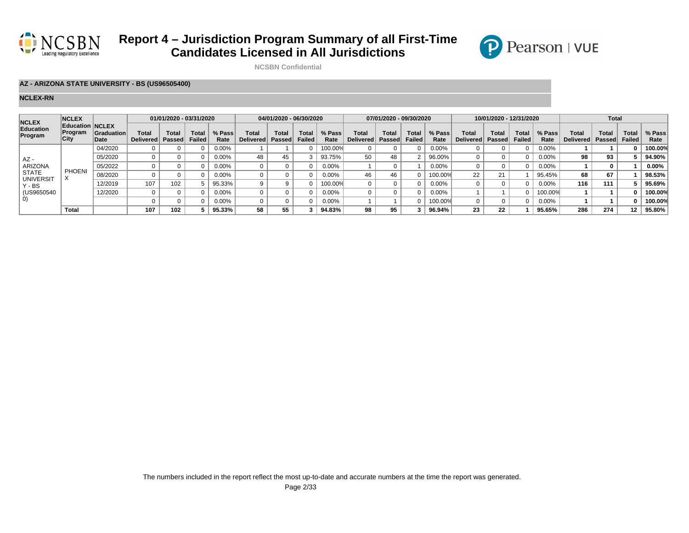



**NCSBN Confidential**

### **AZ - ARIZONA STATE UNIVERSITY - BS (US96505400)**

| <b>NCLEX</b>               | <b>NCLEX</b>                              |                    |                           | 01/01/2020 - 03/31/2020 |                        |                |                    | 04/01/2020 - 06/30/2020 |                |                |                           | 07/01/2020 - 09/30/2020 |                        |                |                    | 10/01/2020 - 12/31/2020 |                        |                |                    | <b>Total</b>    |                        |                |
|----------------------------|-------------------------------------------|--------------------|---------------------------|-------------------------|------------------------|----------------|--------------------|-------------------------|----------------|----------------|---------------------------|-------------------------|------------------------|----------------|--------------------|-------------------------|------------------------|----------------|--------------------|-----------------|------------------------|----------------|
| Education<br>Program       | <b>Education NCLEX</b><br>Program<br>City | Graduation<br>Date | Total<br><b>Delivered</b> | Total<br><b>Passed</b>  | Total<br><b>Failed</b> | % Pass<br>Rate | Total<br>Delivered | Total<br>Passed         | Tota<br>Failed | % Pass<br>Rate | Total<br><b>Delivered</b> | Tota.<br>Passed         | Total<br><b>Failed</b> | % Pass<br>Rate | Total<br>Delivered | Total<br>Passed         | <b>Total</b><br>Failed | % Pass<br>Rate | Total<br>Delivered | Total<br>Passed | <b>Total</b><br>Failed | % Pass<br>Rate |
|                            |                                           | 04/2020            |                           |                         |                        | $0.00\%$       |                    |                         |                | 100.00%        |                           |                         |                        | $0.00\%$       |                    |                         |                        | $0.00\%$       |                    |                 |                        | 100.00%        |
| $AZ -$                     |                                           | 05/2020            |                           |                         |                        | 0.00%          | 48                 | 45                      |                | 93.75%         | 50                        | 48                      |                        | 96.00%         |                    |                         |                        | 0.00%          | 98                 | 93              |                        | 94.90%         |
| ARIZONA                    |                                           | 05/2022            |                           |                         |                        | 0.00%          |                    |                         |                | 0.00%          |                           |                         |                        | $0.00\%$       |                    |                         |                        | 0.00%          |                    |                 |                        | 0.00%          |
| <b>STATE</b>               | <b>PHOENI</b>                             | 08/2020            |                           |                         |                        | 0.00%          |                    |                         |                | $0.00\%$       | 46                        | 46                      |                        | 00.00%         | 22                 | 21                      |                        | 95.45%         | 68                 | 67              |                        | 98.53%         |
| <b>UNIVERSIT</b><br>Y - BS |                                           | 12/2019            | 107                       | 102                     |                        | 95.33%         |                    |                         |                | 100.00%        |                           |                         |                        | 0.00%          |                    |                         |                        | $0.00\%$       | 116                | 111             |                        | 95.69%         |
| (US9650540                 |                                           | 12/2020            |                           |                         |                        | $0.00\%$       |                    |                         |                | 0.00%          |                           |                         |                        | 0.00%          |                    |                         |                        | 100.00%        |                    |                 |                        | 100.00%        |
| $\vert$ O)                 |                                           |                    |                           |                         |                        | 0.00%          |                    |                         |                | $0.00\%$       |                           |                         |                        | $00.00\%$      |                    |                         |                        | 0.00%          |                    |                 |                        | 100.00%        |
|                            | Total                                     |                    | 107                       | 102                     |                        | 95.33%         | 58                 | 55                      |                | 94.83%         | 98                        | 95                      |                        | 96.94%         | 23                 | 22                      |                        | 95.65%         | 286                | 274             | 12                     | 95.80%         |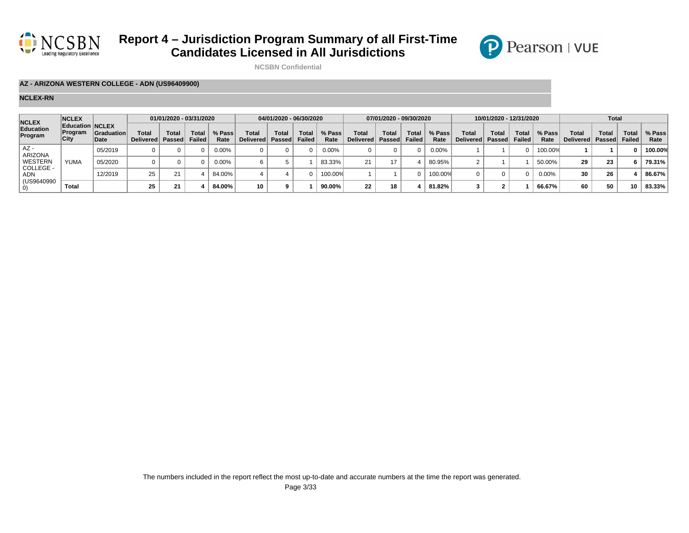



**NCSBN Confidential**

### **AZ - ARIZONA WESTERN COLLEGE - ADN (US96409900)**

| <b>NCLEX</b>         | <b>NCLEX</b>                              |                           |                                  | 01/01/2020 - 03/31/2020 |                        |                |                            | 04/01/2020 - 06/30/2020 |                        |                |                             | 07/01/2020 - 09/30/2020 |                        |                |                                    | 10/01/2020 - 12/31/2020 |                        |                |                           | <b>Total</b>   |                        |                |
|----------------------|-------------------------------------------|---------------------------|----------------------------------|-------------------------|------------------------|----------------|----------------------------|-------------------------|------------------------|----------------|-----------------------------|-------------------------|------------------------|----------------|------------------------------------|-------------------------|------------------------|----------------|---------------------------|----------------|------------------------|----------------|
| Education<br>Program | <b>Education NCLEX</b><br>Program<br>City | <b>Graduation</b><br>Date | <b>Total</b><br>Delivered Passed | <b>Total</b>            | <b>Total</b><br>Failed | % Pass<br>Rate | Tota<br>Delivered   Passed | Total                   | <b>Total</b><br>Failed | % Pass<br>Rate | Total<br>Delivered   Passed | <b>Total</b>            | <b>Total</b><br>Failed | % Pass<br>Rate | <b>Total</b><br>Delivered   Passed | Total                   | <b>Total</b><br>Failed | % Pass<br>Rate | <b>Total</b><br>Delivered | Tota<br>Passed | <b>Total</b><br>Failed | % Pass<br>Rate |
| AZ-<br>ARIZONA       |                                           | 05/2019                   |                                  |                         |                        | $0.00\%$       |                            |                         |                        | $0.00\%$       |                             |                         |                        | $0.00\%$       |                                    |                         |                        | 100.00%        |                           |                |                        | 100.00%        |
| WESTERN              | <b>YUMA</b>                               | 05/2020                   |                                  |                         |                        | $0.00\%$       |                            |                         |                        | 83.33%         | つ1                          |                         |                        | 80.95%         |                                    |                         |                        | 50.00%         | 29                        | 23             |                        | 79.31%         |
| COLLEGE -<br>ADN     |                                           | 12/2019                   | 25                               |                         |                        | 84.00%         |                            |                         |                        | 100.00%        |                             |                         |                        | 100.00%        |                                    |                         |                        | $0.00\%$       |                           | 26             |                        | 86.67%         |
| (US9640990           | Total                                     |                           | 25                               | 21                      |                        | 84.00%         | 10                         |                         |                        | 90.00%         | 22                          |                         |                        | 81.82%         |                                    |                         |                        | 66.67%         |                           | 50             | 10                     | 83.33%         |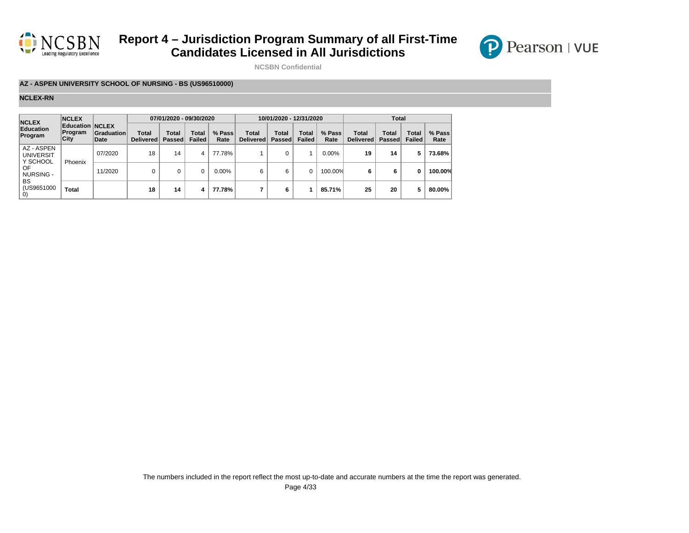



**NCSBN Confidential**

### **AZ - ASPEN UNIVERSITY SCHOOL OF NURSING - BS (US96510000)**

| <b>NCLEX</b>                               | <b>NCLEX</b>                               |                    |                    | 07/01/2020 - 09/30/2020 |                        |                |                                 | 10/01/2020 - 12/31/2020       |                               |                |                    | <b>Total</b>           |                               |                |
|--------------------------------------------|--------------------------------------------|--------------------|--------------------|-------------------------|------------------------|----------------|---------------------------------|-------------------------------|-------------------------------|----------------|--------------------|------------------------|-------------------------------|----------------|
| <b>Education</b><br>Program                | <b>Education NCLEX</b><br>∣Program<br>City | Graduation<br>Date | Total<br>Delivered | Total<br>Passed         | Total<br><b>Failed</b> | % Pass<br>Rate | Total<br>Delivered <sup>1</sup> | <b>Total</b><br><b>Passed</b> | <b>Total</b><br><b>Failed</b> | % Pass<br>Rate | Total<br>Delivered | Total<br><b>Passed</b> | <b>Total</b><br><b>Failed</b> | % Pass<br>Rate |
| AZ - ASPEN<br><b>UNIVERSIT</b><br>Y SCHOOL | Phoenix                                    | 07/2020            | 18                 | 14                      | 4                      | 77.78%         |                                 | 0                             |                               | 0.00%          | 19                 | 14                     | 5                             | 73.68%         |
| OF<br>NURSING -                            |                                            | 11/2020            | 0                  |                         |                        | 0.00%          | 6                               | 6                             |                               | 100.00%        | 6                  | 6                      | 0                             | 100.00%        |
| BS<br>(US9651000<br>O)                     | <b>Total</b>                               |                    | 18                 | 14                      | 4                      | 77.78%         |                                 | 6                             |                               | 85.71%         | 25                 | 20                     | 5                             | 80.00%         |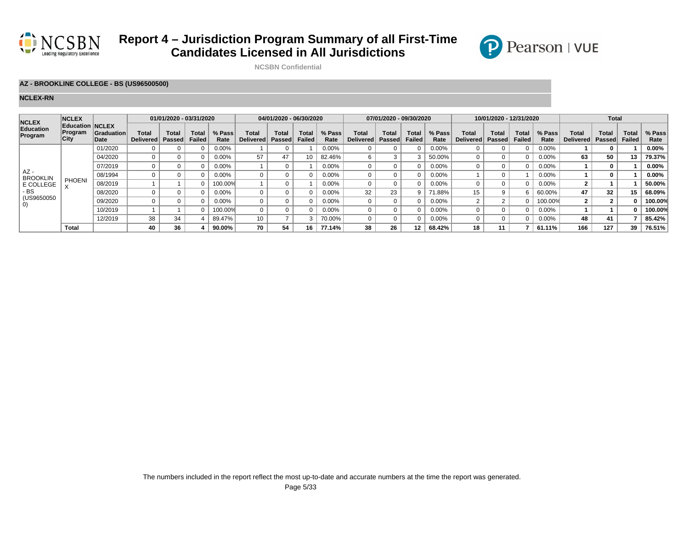

**NCSBN Confidential**

### **AZ - BROOKLINE COLLEGE - BS (US96500500)**

#### **NCLEX-RN**

| <b>NCLEX</b>                    | <b>NCLEX</b>                              |                           |                    | 01/01/2020 - 03/31/2020       |                               |                |                                  | 04/01/2020 - 06/30/2020       |                               |                |                    | 07/01/2020 - 09/30/2020 |                        |                |                             | 10/01/2020 - 12/31/2020             |                               |                |                           | <b>Total</b>    |                               |                |
|---------------------------------|-------------------------------------------|---------------------------|--------------------|-------------------------------|-------------------------------|----------------|----------------------------------|-------------------------------|-------------------------------|----------------|--------------------|-------------------------|------------------------|----------------|-----------------------------|-------------------------------------|-------------------------------|----------------|---------------------------|-----------------|-------------------------------|----------------|
| Education<br>Program            | <b>Education NCLEX</b><br>Program<br>City | <b>Graduation</b><br>Date | Total<br>Delivered | <b>Total</b><br><b>Passed</b> | <b>Total</b><br><b>Failed</b> | % Pass<br>Rate | <b>Total</b><br><b>Delivered</b> | <b>Total</b><br><b>Passed</b> | <b>Total</b><br><b>Failed</b> | % Pass<br>Rate | Total<br>Delivered | <b>Total</b><br>Passed  | Total<br><b>Failed</b> | % Pass<br>Rate | <b>Total</b><br>Delivered l | <b>Total</b><br>Passed <sup>®</sup> | <b>Total</b><br><b>Failed</b> | % Pass<br>Rate | Total<br><b>Delivered</b> | Tota.<br>Passed | <b>Total</b><br><b>Failed</b> | % Pass<br>Rate |
|                                 |                                           | 01/2020                   |                    |                               |                               | 0.00%          |                                  |                               |                               | 0.00%          |                    |                         |                        | $0.00\%$       |                             |                                     |                               | 0.00%          |                           |                 |                               | 0.00%          |
| $AZ -$                          |                                           | 04/2020                   |                    |                               |                               | $0.00\%$       | 57                               | 47                            | 10                            | 82.46%         | 6                  |                         |                        | 50.00%         |                             |                                     |                               | $0.00\%$       | 63                        | 50              | 13                            | 79.37%         |
|                                 |                                           | 07/2019                   |                    |                               |                               | 0.00%          |                                  |                               |                               | $0.00\%$       | 0                  |                         |                        | $0.00\%$       |                             |                                     |                               | $0.00\%$       |                           |                 |                               | 0.00%          |
| <b>BROOKLIN</b>                 |                                           | 08/1994                   |                    |                               |                               | $0.00\%$       |                                  |                               |                               | $0.00\%$       |                    |                         |                        | $0.00\%$       |                             |                                     |                               | $0.00\%$       |                           |                 |                               | $0.00\%$       |
| E COLLEGE                       | <b>PHOENI</b>                             | 08/2019                   |                    |                               |                               | 100.00%        |                                  |                               |                               | 0.00%          |                    |                         |                        | $0.00\%$       |                             |                                     |                               | 0.00%          |                           |                 |                               | 50.00%         |
| - BS                            |                                           | 08/2020                   |                    |                               |                               | 0.00%          |                                  |                               |                               | 0.00%          | 32                 | 23                      |                        | 71.88%         | 15                          | 9                                   |                               | 60.00%         | 47                        | 32              | 15                            | 68.09%         |
| (US9650050<br>$\left( 0\right)$ |                                           | 09/2020                   |                    |                               |                               | 0.00%          |                                  |                               | 0                             | $0.00\%$       |                    |                         |                        | 0.00%          |                             |                                     |                               | 100.00%        |                           |                 |                               | 100.00%        |
|                                 |                                           | 10/2019                   |                    |                               |                               | 100.00%        |                                  |                               |                               | $0.00\%$       |                    |                         |                        | 0.00%          |                             |                                     |                               | $0.00\%$       |                           |                 |                               | 100.00%        |
|                                 |                                           | 12/2019                   | 38                 | 34                            |                               | 89.47%         | 10 <sup>°</sup>                  |                               | Э                             | 70.00%         | 0                  |                         |                        | 0.00%          |                             |                                     |                               | $0.00\%$       | 48                        | 41              |                               | 85.42%         |
|                                 | Total                                     |                           | 40                 | 36                            |                               | 90.00%         | 70                               | 54                            | 16                            | 77.14%         | 38                 | 26                      |                        | 68.42%         | 18                          | 11                                  |                               | 61.11%         | 166                       | 127             | 39                            | 76.51%         |

P Pearson | VUE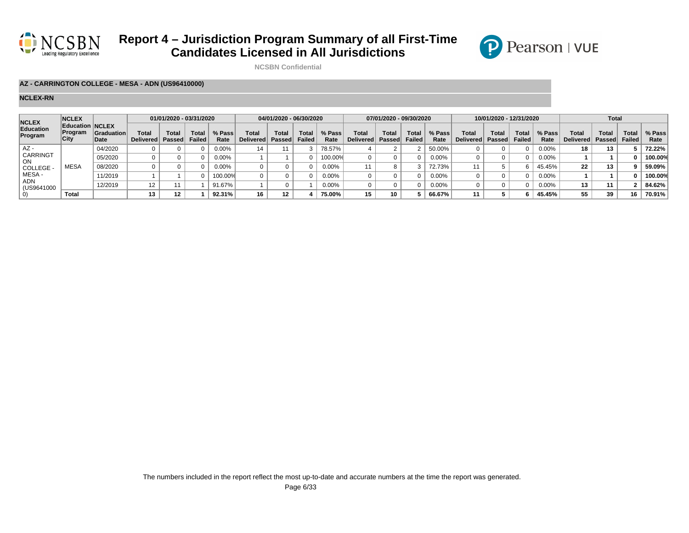



**NCSBN Confidential**

#### **AZ - CARRINGTON COLLEGE - MESA - ADN (US96410000)**

| <b>NCLEX</b>          | <b>NCLEX</b>                              |                           |                    | 01/01/2020 - 03/31/2020 |                        |                |                     | 04/01/2020 - 06/30/2020 |                 |                |                    | 07/01/2020 - 09/30/2020 |                        |                |                                    | 10/01/2020 - 12/31/2020 |                 |                |                           | <b>Total</b>   |                 |                |
|-----------------------|-------------------------------------------|---------------------------|--------------------|-------------------------|------------------------|----------------|---------------------|-------------------------|-----------------|----------------|--------------------|-------------------------|------------------------|----------------|------------------------------------|-------------------------|-----------------|----------------|---------------------------|----------------|-----------------|----------------|
| Education<br>Program  | <b>Education NCLEX</b><br>Program<br>City | <b>Graduation</b><br>Date | Total<br>Delivered | Total<br>Passed         | <b>Total</b><br>Failed | % Pass<br>Rate | Tota<br>Delivered l | Total<br>Passed         | Total<br>Failed | % Pass<br>Rate | Total<br>Delivered | <b>Total</b><br>Passed  | Total<br><b>Failed</b> | % Pass<br>Rate | <b>Total</b><br>Delivered   Passed | Total                   | Total<br>Failed | % Pass<br>Rate | Total<br><b>Delivered</b> | Tota<br>Passed | Total<br>Failed | % Pass<br>Rate |
| AZ -                  |                                           | 04/2020                   |                    |                         |                        | $0.00\%$       | 14                  |                         |                 | 78.57%         |                    |                         |                        | 50.00%         |                                    |                         |                 | $0.00\%$       |                           | 13             |                 | 72.22%         |
| <b>CARRINGT</b><br>ON |                                           | 05/2020                   |                    |                         |                        | 0.00%          |                     |                         |                 | 100.00%        |                    |                         |                        | $0.00\%$       |                                    |                         |                 | $0.00\%$       |                           |                |                 | 100.00%        |
| COLLEGE -             | <b>MESA</b>                               | 08/2020                   |                    |                         |                        | 0.00%          |                     |                         |                 | $0.00\%$       |                    |                         |                        | 72.73%         |                                    |                         |                 | 45.45%         | 22                        | 13             |                 | 59.09%         |
| MESA -                |                                           | 11/2019                   |                    |                         |                        | 100.00%        |                     |                         |                 | $0.00\%$       |                    |                         |                        | $0.00\%$       |                                    |                         |                 | $0.00\%$       |                           |                |                 | 100.00%        |
| ADN<br>(US9641000     |                                           | 12/2019                   | 12                 |                         |                        | 91.67%         |                     |                         |                 | $0.00\%$       |                    |                         |                        | $0.00\%$       |                                    |                         |                 | $0.00\%$       |                           | 11             |                 | 84.62%         |
|                       | Total                                     |                           | 13                 | 12 <sup>12</sup>        |                        | 92.31%         | 16                  | 12                      |                 | 75.00%         | 15                 |                         |                        | 66.67%         |                                    |                         |                 | 45.45%         |                           | 39             | 16              | 70.91%         |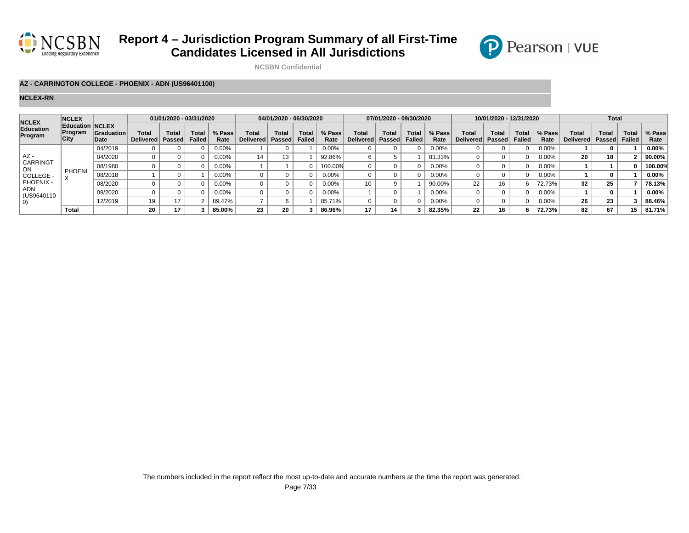



**NCSBN Confidential**

#### **AZ - CARRINGTON COLLEGE - PHOENIX - ADN (US96401100)**

| <b>NCLEX</b>         | <b>NCLEX</b>                              |                           |                           | 01/01/2020 - 03/31/2020 |                        |                |                    | 04/01/2020 - 06/30/2020 |                |                |                           | 07/01/2020 - 09/30/2020 |                        |                |                    | 10/01/2020 - 12/31/2020 |                               |                |                    | <b>Total</b>    |                        |                |
|----------------------|-------------------------------------------|---------------------------|---------------------------|-------------------------|------------------------|----------------|--------------------|-------------------------|----------------|----------------|---------------------------|-------------------------|------------------------|----------------|--------------------|-------------------------|-------------------------------|----------------|--------------------|-----------------|------------------------|----------------|
| Education<br>Program | <b>Education NCLEX</b><br>Program<br>City | <b>Graduation</b><br>Date | Total<br><b>Delivered</b> | Total<br><b>Passed</b>  | Total<br><b>Failed</b> | % Pass<br>Rate | Total<br>Delivered | Total<br>Passed         | Tota<br>Failed | % Pass<br>Rate | Total<br><b>Delivered</b> | Tota.<br>Passed         | Total<br><b>Failed</b> | % Pass<br>Rate | Total<br>Delivered | Total<br>Passed         | <b>Total</b><br><b>Failed</b> | % Pass<br>Rate | Total<br>Delivered | Total<br>Passed | <b>Total</b><br>Failed | % Pass<br>Rate |
|                      |                                           | 04/2019                   |                           |                         |                        | $0.00\%$       |                    |                         |                | 0.00%          |                           |                         |                        | 0.00%          |                    |                         |                               | $0.00\%$       |                    |                 |                        | $0.00\%$       |
| AZ -                 |                                           | 04/2020                   |                           |                         |                        | 0.00%          | 14                 |                         |                | 92.86%         |                           |                         |                        | 83.33%         |                    |                         |                               | 0.00%          | 20                 | 18              |                        | 90.00%         |
| CARRINGT<br>ON       |                                           | 08/1980                   |                           |                         |                        | 0.00%          |                    |                         |                | 100.00%        |                           |                         |                        | $0.00\%$       |                    |                         |                               | 0.00%          |                    |                 |                        | 100.00%        |
| COLLEGE -            | <b>PHOENI</b>                             | 08/2018                   |                           |                         |                        | 0.00%          |                    |                         |                | $0.00\%$       |                           |                         |                        | $0.00\%$       |                    |                         |                               | 0.00%          |                    |                 |                        | 0.00%          |
| PHOENIX -            |                                           | 08/2020                   |                           |                         |                        | $0.00\%$       |                    |                         |                | $0.00\%$       | 10                        |                         |                        | 90.00%         | 22                 | 1 C                     |                               | 72.73%         | 32                 | 25              |                        | 78.13%         |
| ADN<br>(US9640110    |                                           | 09/2020                   |                           |                         |                        | $0.00\%$       |                    |                         |                | 0.00%          |                           |                         |                        | 0.00%          |                    |                         |                               | 0.00%          |                    |                 |                        | 0.00%          |
| $\left( 0\right)$    |                                           | 12/2019                   | 19                        | 17                      |                        | 89.47%         |                    |                         |                | 85.71%         |                           |                         |                        | 0.00%          |                    |                         |                               | 0.00%          | 26                 | 23              |                        | 88.46%         |
|                      | <b>Total</b>                              |                           | 20                        | 17                      |                        | 85.00%         | 23                 | 20                      |                | 86.96%         | 17                        | 14                      |                        | 82.35%         | 22                 | 16                      |                               | 72.73%         | 82                 | 67              | 15                     | 81.71%         |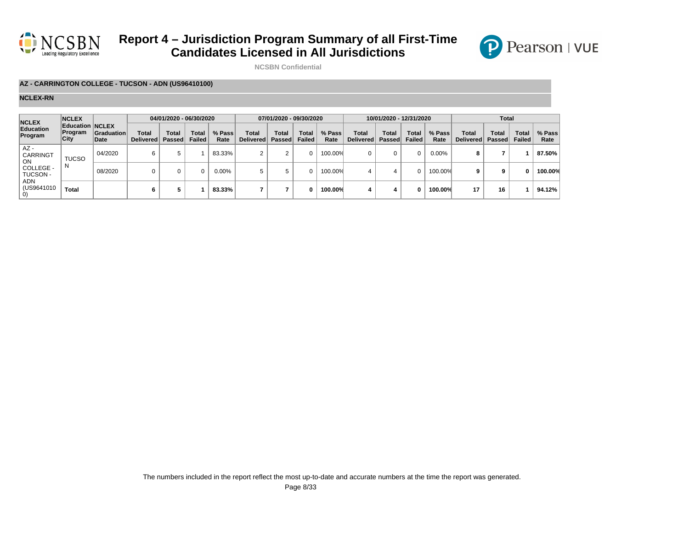



**NCSBN Confidential**

### **AZ - CARRINGTON COLLEGE - TUCSON - ADN (US96410100)**

| <b>NCLEX</b>                | <b>NCLEX</b>                       |                           |                           | 04/01/2020 - 06/30/2020 |                        |                |                           | 07/01/2020 - 09/30/2020       |                        |                |                    | 10/01/2020 - 12/31/2020 |                 |                |                           | <b>Total</b>                  |                        |                |
|-----------------------------|------------------------------------|---------------------------|---------------------------|-------------------------|------------------------|----------------|---------------------------|-------------------------------|------------------------|----------------|--------------------|-------------------------|-----------------|----------------|---------------------------|-------------------------------|------------------------|----------------|
| <b>Education</b><br>Program | Education NCLEX<br>Program<br>City | <b>Graduation</b><br>Date | Total<br><b>Delivered</b> | Total<br>Passed         | <b>Total</b><br>Failed | % Pass<br>Rate | Total<br><b>Delivered</b> | <b>Total</b><br><b>Passed</b> | Total<br><b>Failed</b> | % Pass<br>Rate | Total<br>Delivered | Total<br><b>Passed</b>  | Total<br>Failed | % Pass<br>Rate | Total<br><b>Delivered</b> | <b>Total</b><br><b>Passed</b> | Total<br><b>Failed</b> | % Pass<br>Rate |
| $AZ -$<br>CARRINGT<br>ON    | <b>TUCSO</b>                       | 04/2020                   | 6                         |                         |                        | 83.33%         |                           |                               | <sup>n</sup>           | 100.00%        | 0                  |                         | $\Omega$        | 0.00%          | 8                         |                               |                        | 87.50%         |
| COLLEGE -<br>TUCSON -       | N                                  | 08/2020                   | 0                         |                         | 0                      | $0.00\%$       |                           |                               | 0                      | 100.00%        | 4                  |                         | 0               | 100.00%        |                           | 9                             |                        | 100.00%        |
| ADN<br>(US9641010           | <b>Total</b>                       |                           | b                         |                         |                        | 83.33%         |                           |                               | n                      | 100.00%        | 4                  |                         | 0               | 100.00%        | 17                        | 16                            |                        | 94.12%         |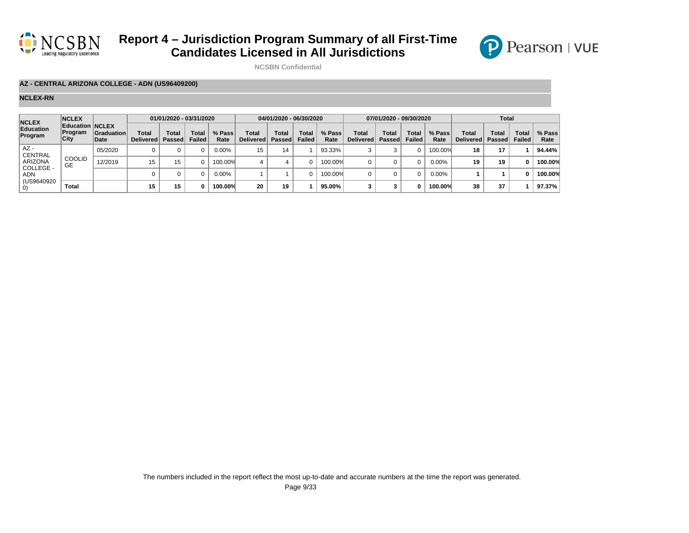



**NCSBN Confidential**

### **AZ - CENTRAL ARIZONA COLLEGE - ADN (US96409200)**

| <b>NCLEX</b>                | <b>NCLEX</b>                              |                    |                           | 01/01/2020 - 03/31/2020 |                               |                |                           | 04/01/2020 - 06/30/2020 |                        |                |                    | 07/01/2020 - 09/30/2020       |                 |                |                           | <b>Total</b>           |                        |                |
|-----------------------------|-------------------------------------------|--------------------|---------------------------|-------------------------|-------------------------------|----------------|---------------------------|-------------------------|------------------------|----------------|--------------------|-------------------------------|-----------------|----------------|---------------------------|------------------------|------------------------|----------------|
| <b>Education</b><br>Program | <b>Education NCLEX</b><br>Program<br>City | Graduation<br>Date | Total<br><b>Delivered</b> | Total<br>Passed         | <b>Total</b><br><b>Failed</b> | % Pass<br>Rate | Total<br><b>Delivered</b> | Total<br><b>Passed</b>  | Total<br><b>Failed</b> | % Pass<br>Rate | Total<br>Delivered | <b>Total</b><br><b>Passed</b> | Total<br>Failed | % Pass<br>Rate | Total<br><b>Delivered</b> | <b>Total</b><br>Passed | Total<br><b>Failed</b> | % Pass<br>Rate |
| $AZ -$<br><b>CENTRAL</b>    |                                           | 05/2020            |                           |                         |                               | 0.00%          | 15                        | 14                      |                        | 93.33%         |                    |                               |                 | 100.00%        | 18                        | 17                     |                        | 94.44%         |
| ARIZONA<br>COLLEGE -        | <b>COOLID</b><br>GE                       | 12/2019            | 15                        | 15                      | 0                             | 100.00%        |                           |                         | <sup>n</sup>           | 100.00%        |                    |                               | $\Omega$        | 0.00%          | 19                        | 19                     | U                      | 100.00%        |
| <b>ADN</b>                  |                                           |                    |                           |                         |                               | 0.00%          |                           |                         | U                      | 100.00%        |                    |                               |                 | 0.00%          |                           |                        |                        | 100.00%        |
| (US9640920)                 | <b>Total</b>                              |                    | 15                        | 15                      | 0                             | 100.00%        | 20                        | 19                      |                        | 95.00%         |                    |                               | 0               | 100.00%        | 38                        | 37                     |                        | 97.37%         |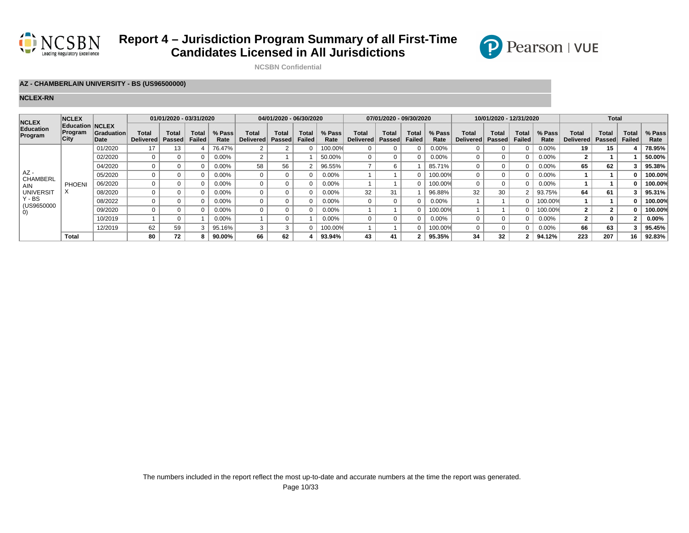



**NCSBN Confidential**

### **AZ - CHAMBERLAIN UNIVERSITY - BS (US96500000)**

| <b>NCLEX</b>              | <b>NCLEX</b>                                     |                           |                                  | 01/01/2020 - 03/31/2020 |                               |                |                                  | 04/01/2020 - 06/30/2020 |                 |                |                           | 07/01/2020 - 09/30/2020       |                               |                |                           | 10/01/2020 - 12/31/2020 |                               |                |                    | <b>Total</b>           |                               |                |
|---------------------------|--------------------------------------------------|---------------------------|----------------------------------|-------------------------|-------------------------------|----------------|----------------------------------|-------------------------|-----------------|----------------|---------------------------|-------------------------------|-------------------------------|----------------|---------------------------|-------------------------|-------------------------------|----------------|--------------------|------------------------|-------------------------------|----------------|
| Education<br>Program      | <b>Education NCLEX</b><br>Program<br><b>City</b> | <b>Graduation</b><br>Date | <b>Total</b><br><b>Delivered</b> | Total<br><b>Passed</b>  | <b>Total</b><br><b>Failed</b> | % Pass<br>Rate | <b>Total</b><br><b>Delivered</b> | Total<br><b>Passed</b>  | Total<br>Failed | % Pass<br>Rate | Total<br><b>Delivered</b> | <b>Total</b><br><b>Passed</b> | <b>Total</b><br><b>Failed</b> | % Pass<br>Rate | <b>Total</b><br>Delivered | <b>Total</b><br>Passed  | <b>Total</b><br><b>Failed</b> | % Pass<br>Rate | Total<br>Delivered | Total<br><b>Passed</b> | <b>Total</b><br><b>Failed</b> | % Pass<br>Rate |
|                           |                                                  | 01/2020                   | 17                               | 13                      |                               | 76.47%         |                                  |                         |                 | 100.00%        |                           |                               |                               | 0.00%          |                           |                         |                               | 0.00%          |                    | 15                     |                               | 78.95%         |
|                           |                                                  | 02/2020                   | $\Omega$                         |                         |                               | 0.00%          |                                  |                         |                 | 50.00%         | $\Omega$                  |                               |                               | 0.00%          |                           |                         |                               | 0.00%          |                    |                        |                               | 50.00%         |
|                           |                                                  | 04/2020                   |                                  |                         |                               | $0.00\%$       | 58                               | 56                      |                 | 96.55%         |                           | b                             |                               | 85.71%         |                           |                         |                               | 0.00%          | 65                 | 62                     |                               | 95.38%         |
| $AZ -$<br><b>CHAMBERL</b> |                                                  | 05/2020                   |                                  |                         |                               | $0.00\%$       |                                  |                         |                 | 0.00%          |                           |                               |                               | 100.00%        |                           |                         |                               | 0.00%          |                    |                        |                               | 100.00%        |
| <b>AIN</b>                | <b>PHOENI</b>                                    | 06/2020                   |                                  |                         |                               | $0.00\%$       |                                  |                         | $\Omega$        | 0.00%          |                           |                               |                               | 100.00%        | $\Omega$                  |                         |                               | 0.00%          |                    |                        |                               | 100.00%        |
| <b>UNIVERSIT</b>          | $\lambda$                                        | 08/2020                   |                                  |                         |                               | $0.00\%$       |                                  |                         | $\Omega$        | 0.00%          | 32                        | 31                            |                               | 96.88%         | 32                        | 30                      |                               | 93.75%         | 64                 | 61                     |                               | 95.31%         |
| $Y - BS$<br>(US9650000    |                                                  | 08/2022                   |                                  |                         |                               | $0.00\%$       |                                  |                         | $\Omega$        | $0.00\%$       |                           |                               |                               | 0.00%          |                           |                         |                               | 100.00%        |                    |                        |                               | 100.00%        |
| $\left( 0\right)$         |                                                  | 09/2020                   |                                  |                         |                               | $0.00\%$       |                                  |                         | $\Omega$        | 0.00%          |                           |                               |                               | 100.00%        |                           |                         |                               | 100.00%        |                    |                        |                               | 100.00%        |
|                           |                                                  | 10/2019                   |                                  |                         |                               | $0.00\%$       |                                  |                         |                 | $0.00\%$       |                           |                               |                               | 0.00%          | $\Omega$                  |                         |                               | 0.00%          |                    | $\Omega$               |                               | $0.00\%$       |
|                           |                                                  | 12/2019                   | 62                               | 59                      |                               | 95.16%         |                                  |                         | $\Omega$        | 100.00%        |                           |                               |                               | 100.00%        | $\Omega$                  |                         |                               | 0.00%          | 66                 | 63                     |                               | 95.45%         |
|                           | Total                                            |                           | 80                               | 72                      |                               | 90.00%         | 66                               | 62                      |                 | 93.94%         | 43                        | 41                            |                               | 95.35%         | 34                        | 32                      | 2                             | 94.12%         | 223                | 207                    | 16                            | 92.83%         |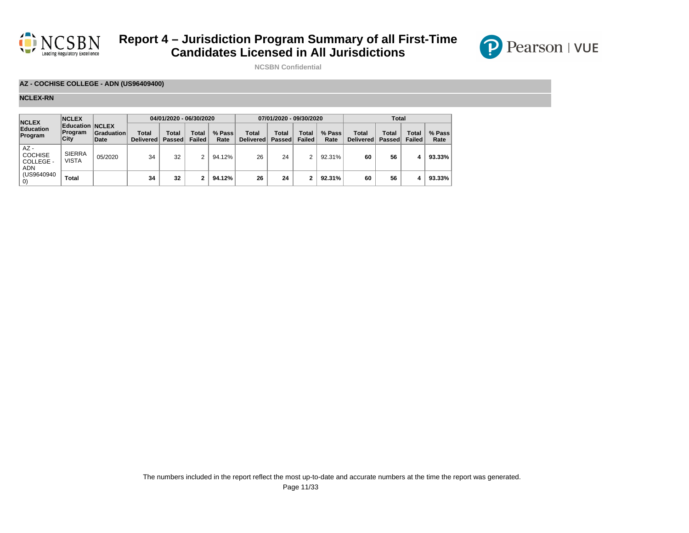



**NCSBN Confidential**

### **AZ - COCHISE COLLEGE - ADN (US96409400)**

| <b>NCLEX</b>                                 | <b>NCLEX</b>                              |                    |                           | 04/01/2020 - 06/30/2020 |                        |                |                           | 07/01/2020 - 09/30/2020 |                        |                |                           | <b>Total</b>    |                        |                |
|----------------------------------------------|-------------------------------------------|--------------------|---------------------------|-------------------------|------------------------|----------------|---------------------------|-------------------------|------------------------|----------------|---------------------------|-----------------|------------------------|----------------|
| Education<br>Program                         | <b>Education NCLEX</b><br>Program<br>City | Graduation<br>Date | Total<br><b>Delivered</b> | Total<br>Passed         | Total<br><b>Failed</b> | % Pass<br>Rate | <b>Total</b><br>Delivered | <b>Total</b><br>Passed  | Total<br><b>Failed</b> | % Pass<br>Rate | Total<br><b>Delivered</b> | Total<br>Passed | Total<br><b>Failed</b> | % Pass<br>Rate |
| $AZ -$<br><b>COCHISE</b><br>COLLEGE -<br>ADN | <b>SIERRA</b><br><b>VISTA</b>             | 05/2020            | 34                        | 32                      | c                      | 94.12%         | 26                        | 24                      | 2                      | 92.31%         | 60                        | 56              | 4                      | 93.33%         |
| (US9640940)                                  | <b>Total</b>                              |                    | 34                        | 32                      |                        | 94.12%         | 26                        | 24                      | 2                      | 92.31%         | 60                        | 56              |                        | 93.33%         |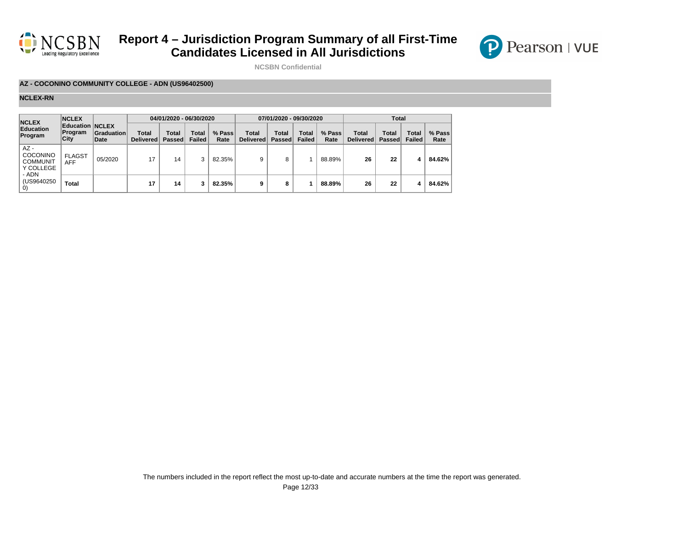



**NCSBN Confidential**

### **AZ - COCONINO COMMUNITY COLLEGE - ADN (US96402500)**

| <b>NCLEX</b>                                                | <b>NCLEX</b>                              |                    |                    | 04/01/2020 - 06/30/2020 |                        |                |                           | 07/01/2020 - 09/30/2020       |                        |                |                    | <b>Total</b>           |                        |                |
|-------------------------------------------------------------|-------------------------------------------|--------------------|--------------------|-------------------------|------------------------|----------------|---------------------------|-------------------------------|------------------------|----------------|--------------------|------------------------|------------------------|----------------|
| Education<br>Program                                        | <b>Education NCLEX</b><br>Program<br>City | Graduation<br>Date | Total<br>Delivered | Total<br><b>Passed</b>  | Total<br><b>Failed</b> | % Pass<br>Rate | <b>Total</b><br>Delivered | <b>Total</b><br><b>Passed</b> | Total<br><b>Failed</b> | % Pass<br>Rate | Total<br>Delivered | Total<br><b>Passed</b> | <b>Total</b><br>Failed | % Pass<br>Rate |
| $AZ -$<br>COCONINO<br><b>COMMUNIT</b><br>Y COLLEGE<br>- ADN | <b>FLAGST</b><br><b>AFF</b>               | 05/2020            | 17                 | 14                      | 3                      | 82.35%         |                           | 8                             |                        | 88.89%         | 26                 | 22                     | 4                      | 84.62%         |
| (US9640250)<br>U)                                           | <b>Total</b>                              |                    | 17                 | 14                      | 3                      | 82.35%         | 9                         | 8                             |                        | 88.89%         | 26                 | 22                     | 4                      | 84.62%         |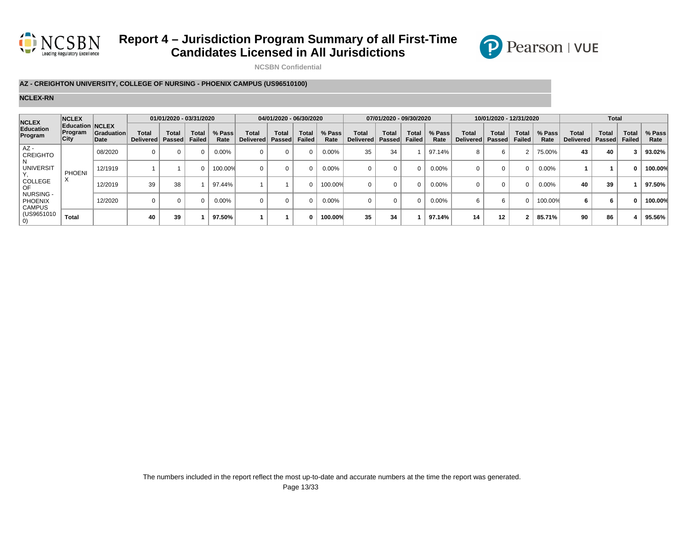



**NCSBN Confidential**

### **AZ - CREIGHTON UNIVERSITY, COLLEGE OF NURSING - PHOENIX CAMPUS (US96510100)**

| <b>NCLEX</b>                                 | <b>NCLEX</b>                                     |                           |                           | 01/01/2020 - 03/31/2020 |                               |                |                                  | 04/01/2020 - 06/30/2020 |                       |                |                           | 07/01/2020 - 09/30/2020 |                               |                |                           | 10/01/2020 - 12/31/2020 |                               |                |                    | <b>Total</b>    |                        |                |
|----------------------------------------------|--------------------------------------------------|---------------------------|---------------------------|-------------------------|-------------------------------|----------------|----------------------------------|-------------------------|-----------------------|----------------|---------------------------|-------------------------|-------------------------------|----------------|---------------------------|-------------------------|-------------------------------|----------------|--------------------|-----------------|------------------------|----------------|
| Education<br>Program                         | <b>Education NCLEX</b><br>Program<br><b>City</b> | <b>Graduation</b><br>Date | Total<br><b>Delivered</b> | <b>Total</b><br>Passed  | <b>Total</b><br><b>Failed</b> | % Pass<br>Rate | <b>Total</b><br><b>Delivered</b> | Total<br><b>Passed</b>  | Tota<br><b>Failed</b> | % Pass<br>Rate | Total<br><b>Delivered</b> | <b>Total</b><br>Passed  | <b>Total</b><br><b>Failed</b> | % Pass<br>Rate | <b>Total</b><br>Delivered | <b>Total</b><br>Passed  | <b>Total</b><br><b>Failed</b> | % Pass<br>Rate | Total<br>Delivered | Total<br>Passed | <b>Total</b><br>Failed | % Pass<br>Rate |
| $AZ -$<br><b>CREIGHTO</b>                    |                                                  | 08/2020                   |                           |                         |                               | $0.00\%$       |                                  |                         | $\Omega$              | 0.00%          | 35                        | 34                      |                               | 97.14%         | 8                         |                         |                               | 75.00%         | 43                 | 40              |                        | 93.02%         |
| <b>UNIVERSIT</b>                             | <b>PHOENI</b>                                    | 12/1919                   |                           |                         |                               | 100.00%        |                                  |                         | $\Omega$              | 0.00%          |                           |                         | 0                             | $0.00\%$       |                           |                         |                               | 0.00%          |                    |                 |                        | 100.00%        |
| COLLEGE<br>OF                                | $\sim$                                           | 12/2019                   | 39                        | 38                      |                               | 97.44%         |                                  |                         | 0                     | 100.00%        | $\Omega$                  |                         | 0                             | 0.00%          |                           |                         |                               | 0.00%          |                    | 39              |                        | 97.50%         |
| NURSING -<br><b>PHOENIX</b><br><b>CAMPUS</b> |                                                  | 12/2020                   | $\Omega$                  |                         |                               | $0.00\%$       |                                  |                         | $\Omega$              | 0.00%          | $\Omega$                  |                         |                               | 0.00%          | ĥ                         |                         |                               | 100.00%        |                    | 'n              |                        | 100.00%        |
| (US9651010<br>O)                             | <b>Total</b>                                     |                           | 40                        | 39                      |                               | 97.50%         |                                  |                         | 0                     | 100.00%        | 35                        | 34                      |                               | 97.14%         | 14                        | 12                      | 2                             | 85.71%         | 90                 | 86              |                        | 95.56%         |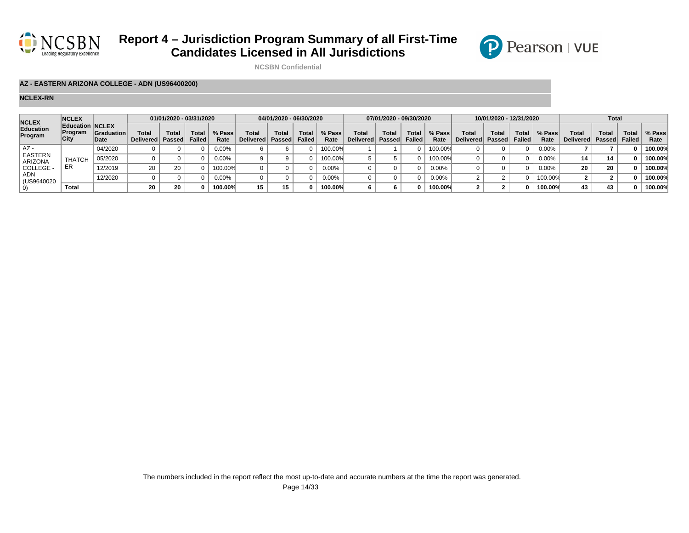



**NCSBN Confidential**

### **AZ - EASTERN ARIZONA COLLEGE - ADN (US96400200)**

| <b>NCLEX</b>              | <b>NCLEX</b>                                     |                           |                                  | 01/01/2020 - 03/31/2020 |                        |                |                   | 04/01/2020 - 06/30/2020 |                |                |                    | 07/01/2020 - 09/30/2020 |                 |                |                                  | 10/01/2020 - 12/31/2020 |                 |                |                           | Total          |                        |                |
|---------------------------|--------------------------------------------------|---------------------------|----------------------------------|-------------------------|------------------------|----------------|-------------------|-------------------------|----------------|----------------|--------------------|-------------------------|-----------------|----------------|----------------------------------|-------------------------|-----------------|----------------|---------------------------|----------------|------------------------|----------------|
| Education<br>Program      | <b>Education NCLEX</b><br><b>Program</b><br>City | <b>Graduation</b><br>Date | <b>Total</b><br><b>Delivered</b> | <b>Total</b><br>Passed  | <b>Total</b><br>Failed | % Pass<br>Rate | Tota<br>Delivered | Total<br>Passed         | Tota<br>Failed | % Pass<br>Rate | Total<br>Delivered | Total<br>Passed         | Total<br>Failed | % Pass<br>Rate | <b>Total</b><br>Delivered Passed | Total                   | Total<br>Failed | % Pass<br>Rate | <b>Total</b><br>Delivered | Tota<br>Passed | Total<br><b>Failed</b> | % Pass<br>Rate |
| AZ -                      |                                                  | 04/2020                   |                                  |                         |                        | $0.00\%$       |                   |                         |                | 100.00%        |                    |                         |                 | 100.00%        |                                  |                         |                 | $0.00\%$       |                           |                |                        | 100.00%        |
| <b>EASTERN</b><br>ARIZONA | <b>THATCH</b>                                    | 05/2020                   |                                  |                         |                        | $0.00\%$       |                   |                         |                | 100.00%        |                    |                         |                 | 100.00%        |                                  |                         |                 | 0.00%          |                           | 14             |                        | 100.00%        |
| COLLEGE -                 | ER                                               | 12/2019                   | 20                               | 20                      |                        | 100.00%        |                   |                         |                | $0.00\%$       |                    |                         |                 | $0.00\%$       |                                  |                         |                 | $0.00\%$       |                           | 20             |                        | 100.00%        |
| ADN<br>(US9640020         |                                                  | 12/2020                   |                                  |                         |                        | $0.00\%$       |                   |                         |                | $0.00\%$       |                    |                         |                 | $0.00\%$       |                                  |                         |                 | 100.00%        |                           |                |                        | 100.00%        |
| U)                        | Total                                            |                           | 20                               | 20                      |                        | 100.00%        | 15                |                         |                | 100.00%        |                    |                         |                 | 100.00%        |                                  |                         |                 | 100.00%        |                           | 43             |                        | 100.00%        |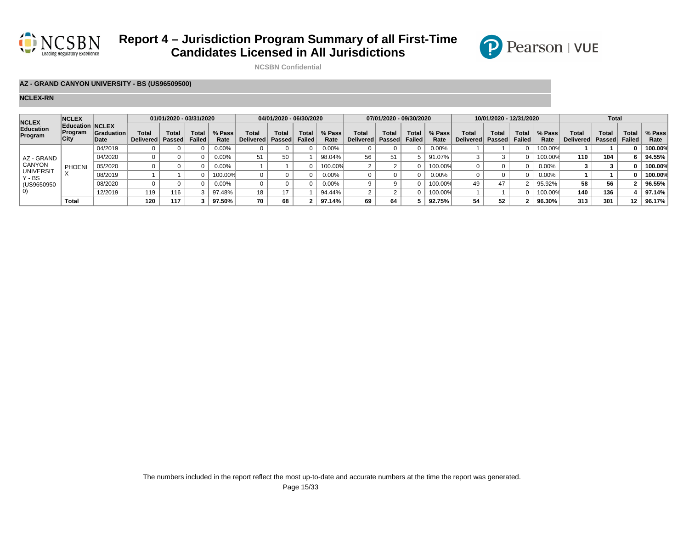



**NCSBN Confidential**

### **AZ - GRAND CANYON UNIVERSITY - BS (US96509500)**

| <b>NCLEX</b>                 | <b>NCLEX</b>                                            |                            |                           | 01/01/2020 - 03/31/2020 |                        |                |                    | 04/01/2020 - 06/30/2020 |                |                |                    | 07/01/2020 - 09/30/2020 |                               |                |                                    | 10/01/2020 - 12/31/2020 |                               |                |                    | <b>Total</b>   |                 |                |
|------------------------------|---------------------------------------------------------|----------------------------|---------------------------|-------------------------|------------------------|----------------|--------------------|-------------------------|----------------|----------------|--------------------|-------------------------|-------------------------------|----------------|------------------------------------|-------------------------|-------------------------------|----------------|--------------------|----------------|-----------------|----------------|
| Education<br>Program         | <b>Education NCLEX</b><br><b>Program</b><br><b>City</b> | <b>Graduation</b><br>∣Date | Total<br><b>Delivered</b> | <b>Total</b><br>Passed  | Total<br><b>Failed</b> | % Pass<br>Rate | Total<br>Delivered | Total<br>Passed         | Tota<br>Failed | % Pass<br>Rate | Total<br>Delivered | Total<br>Passed         | <b>Total</b><br><b>Failed</b> | % Pass<br>Rate | <b>Total</b><br>Delivered   Passed | Total                   | <b>Total</b><br><b>Failed</b> | % Pass<br>Rate | Total<br>Delivered | Tota<br>Passed | Total<br>Failed | % Pass<br>Rate |
|                              |                                                         | 04/2019                    |                           |                         |                        | $0.00\%$       |                    |                         |                | $0.00\%$       |                    |                         |                               | 0.00%          |                                    |                         |                               | 100.00%        |                    |                |                 | 100.00%        |
| AZ - GRAND                   |                                                         | 04/2020                    |                           |                         |                        | $0.00\%$       |                    | 50                      |                | 98.04%         | 56                 |                         |                               | 91.07%         |                                    |                         |                               | 100.00%        | 110                | 104            |                 | 94.55%         |
| CANYON                       | PHOEN                                                   | 05/2020                    |                           |                         |                        | $0.00\%$       |                    |                         |                | 100.00%        |                    |                         |                               | 100.00%        |                                    |                         |                               | $0.00\%$       |                    |                |                 | 100.00%        |
| <b>UNIVERSIT</b><br>$Y - BS$ |                                                         | 08/2019                    |                           |                         |                        | 100.00%        |                    |                         |                | $0.00\%$       |                    |                         |                               | 0.00%          |                                    |                         |                               | 0.00%          |                    |                |                 | 100.00%        |
| (US9650950)                  |                                                         | 08/2020                    |                           |                         |                        | 0.00%          |                    |                         |                | $0.00\%$       |                    |                         |                               | $00.00\%$      | 49                                 | 47                      |                               | 95.92%         | 58                 | 56             |                 | 96.55%         |
| 0)                           |                                                         | 12/2019                    | 119                       | 116                     |                        | 97.48%         | 18                 |                         |                | 94.44%         |                    |                         |                               | 100.00%        |                                    |                         |                               | 100.00%        | 140                | 136            |                 | 97.14%         |
|                              | Total                                                   |                            | 120                       | 117                     |                        | 97.50%         | 70                 | 68                      |                | 97.14%         | 69                 |                         |                               | 92.75%         | 54                                 | 52                      |                               | 96.30%         | 313                | 301            | 12              | 96.17%         |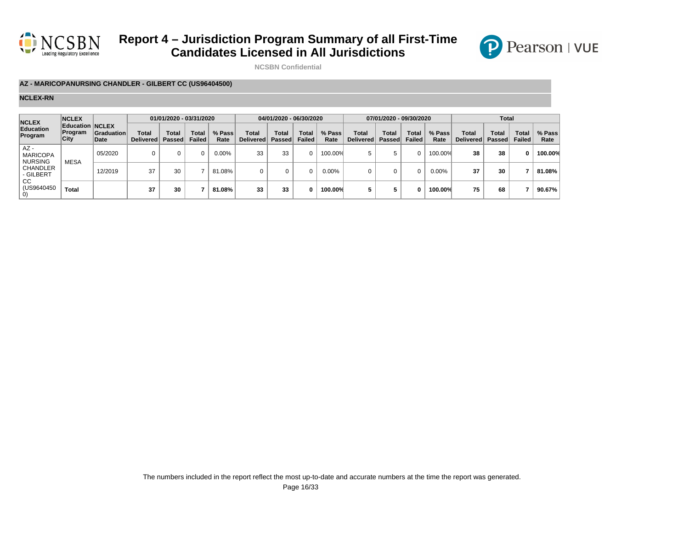



**NCSBN Confidential**

### **AZ - MARICOPANURSING CHANDLER - GILBERT CC (US96404500)**

| <b>NCLEX</b>                                | <b>NCLEX</b>                       |                    |                           | 01/01/2020 - 03/31/2020 |                        |                |                           | 04/01/2020 - 06/30/2020 |                        |                |                    | 07/01/2020 - 09/30/2020 |                        |                |                                  | <b>Total</b>                  |                        |                |
|---------------------------------------------|------------------------------------|--------------------|---------------------------|-------------------------|------------------------|----------------|---------------------------|-------------------------|------------------------|----------------|--------------------|-------------------------|------------------------|----------------|----------------------------------|-------------------------------|------------------------|----------------|
| Education<br>Program                        | Education NCLEX<br>Program<br>City | Graduation<br>Date | Total<br><b>Delivered</b> | Total<br>Passed         | <b>Total</b><br>Failed | % Pass<br>Rate | Total<br><b>Delivered</b> | Total<br><b>Passed</b>  | Total<br><b>Failed</b> | % Pass<br>Rate | Total<br>Delivered | Total<br>Passed         | Total<br><b>Failed</b> | % Pass<br>Rate | <b>Total</b><br><b>Delivered</b> | <b>Total</b><br><b>Passed</b> | Total<br><b>Failed</b> | % Pass<br>Rate |
| $AZ -$<br><b>MARICOPA</b><br><b>NURSING</b> | <b>MESA</b>                        | 05/2020            |                           |                         | 0                      | 0.00%          | 33                        | 33                      | 0                      | 100.00%        | 5                  |                         | $\Omega$               | 100.00%        | 38                               | 38                            | 0                      | 100.00%        |
| <b>CHANDLER</b><br>- GILBERT                |                                    | 12/2019            | 37                        | 30                      |                        | 81.08%         |                           |                         | 0                      | 0.00%          |                    |                         | 0                      | 0.00%          | 37                               | 30                            |                        | 81.08%         |
| <sub>CC</sub><br>(US9640450                 | <b>Total</b>                       |                    | 37                        | 30                      |                        | 81.08%         | 33                        | 33                      | 0                      | 100.00%        |                    |                         | 0                      | 100.00%        | 75                               | 68                            |                        | 90.67%         |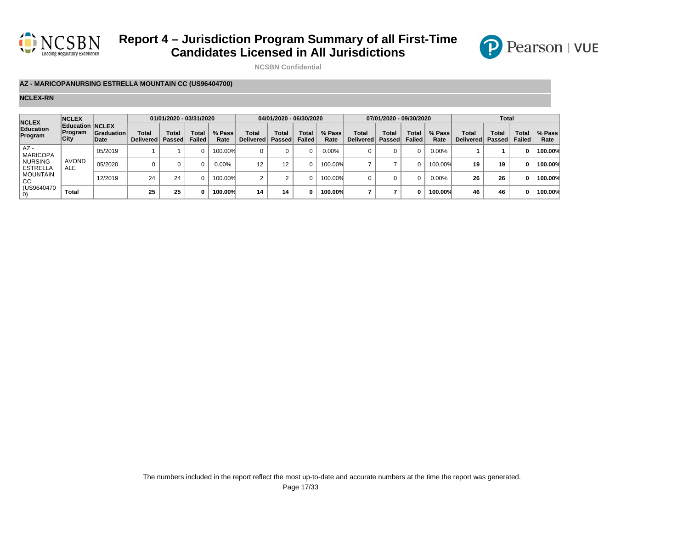



**NCSBN Confidential**

#### **AZ - MARICOPANURSING ESTRELLA MOUNTAIN CC (US96404700)**

| <b>NCLEX</b>                      | <b>NCLEX</b>                       |                    |                           | 01/01/2020 - 03/31/2020 |                        |                |                           | 04/01/2020 - 06/30/2020       |                        |                |                    | 07/01/2020 - 09/30/2020 |                 |                |                                  | Total                  |                        |                |
|-----------------------------------|------------------------------------|--------------------|---------------------------|-------------------------|------------------------|----------------|---------------------------|-------------------------------|------------------------|----------------|--------------------|-------------------------|-----------------|----------------|----------------------------------|------------------------|------------------------|----------------|
| Education<br>Program              | Education NCLEX<br>Program<br>City | Graduation<br>Date | Total<br><b>Delivered</b> | Total<br>Passed         | Total<br><b>Failed</b> | % Pass<br>Rate | Total<br><b>Delivered</b> | <b>Total</b><br><b>Passed</b> | Total<br><b>Failed</b> | % Pass<br>Rate | Total<br>Delivered | Total<br>Passed         | Total<br>Failed | % Pass<br>Rate | <b>Total</b><br><b>Delivered</b> | Total<br><b>Passed</b> | Total<br><b>Failed</b> | % Pass<br>Rate |
| $AZ -$<br><b>MARICOPA</b>         |                                    | 05/2019            |                           |                         | O.                     | 100.00%        |                           |                               |                        | 0.00%          |                    |                         |                 | 0.00%          |                                  |                        |                        | 100.00%        |
| <b>NURSING</b><br><b>ESTRELLA</b> | <b>AVOND</b><br><b>ALE</b>         | 05/2020            |                           |                         | O                      | $0.00\%$       | 12                        | 12                            |                        | 100.00%        |                    |                         | 0               | 100.00%        | 19                               | 19                     | 0                      | 100.00%        |
| <b>MOUNTAIN</b><br>CC.            |                                    | 12/2019            | 24                        | 24                      | O.                     | 100.00%        |                           |                               |                        | 100.00%        | $\Omega$           |                         | $\Omega$        | 0.00%          | 26                               | 26                     | 0                      | 100.00%        |
| (US9640470)                       | <b>Total</b>                       |                    | 25                        | 25                      | n                      | 100.00%        | 14                        | 14                            | 0                      | 100.00%        |                    |                         | 0               | 100.00%        | 46                               | 46                     | O                      | 100.00%        |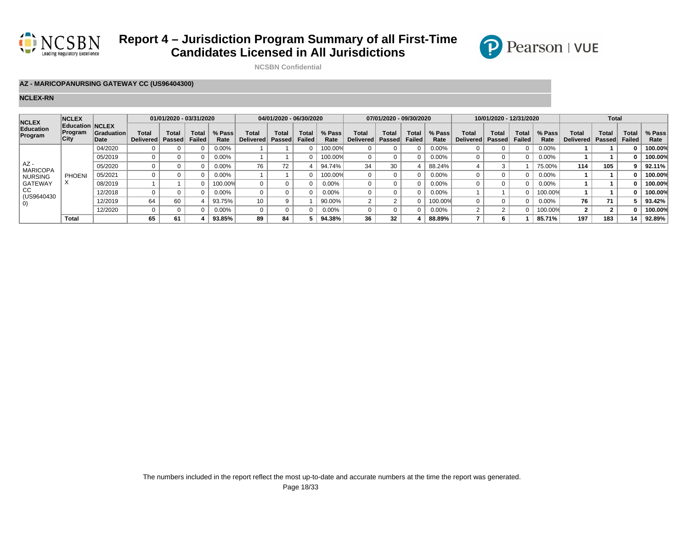



**NCSBN Confidential**

### **AZ - MARICOPANURSING GATEWAY CC (US96404300)**

| <b>NCLEX</b>              | <b>NCLEX</b>                                     |                           |                           | 01/01/2020 - 03/31/2020 |                        |                |                                  | 04/01/2020 - 06/30/2020 |                |                |                           | 07/01/2020 - 09/30/2020 |                               |                |                           | 10/01/2020 - 12/31/2020 |                               |                |                                  | <b>Total</b>   |                               |                |
|---------------------------|--------------------------------------------------|---------------------------|---------------------------|-------------------------|------------------------|----------------|----------------------------------|-------------------------|----------------|----------------|---------------------------|-------------------------|-------------------------------|----------------|---------------------------|-------------------------|-------------------------------|----------------|----------------------------------|----------------|-------------------------------|----------------|
| Education<br>Program      | <b>Education NCLEX</b><br>Program<br><b>City</b> | <b>Graduation</b><br>Date | Total<br><b>Delivered</b> | Total<br><b>Passed</b>  | Total<br><b>Failed</b> | % Pass<br>Rate | <b>Total</b><br><b>Delivered</b> | Total<br><b>Passed</b>  | Tota<br>Failed | % Pass<br>Rate | Total<br><b>Delivered</b> | Total<br>Passed         | <b>Total</b><br><b>Failed</b> | % Pass<br>Rate | <b>Total</b><br>Delivered | Total<br><b>Passed</b>  | <b>Total</b><br><b>Failed</b> | % Pass<br>Rate | <b>Total</b><br><b>Delivered</b> | Tota<br>Passed | <b>Total</b><br><b>Failed</b> | % Pass<br>Rate |
|                           |                                                  | 04/2020                   |                           |                         |                        | $0.00\%$       |                                  |                         |                | 100.00%        |                           |                         |                               | 0.00%          |                           |                         |                               | 0.00%          |                                  |                |                               | 100.00%        |
|                           |                                                  | 05/2019                   |                           |                         |                        | $0.00\%$       |                                  |                         | $\Omega$       | 100.00%        |                           |                         |                               | $0.00\%$       |                           |                         |                               | 0.00%          |                                  |                |                               | 100.00%        |
| $AZ -$<br><b>MARICOPA</b> |                                                  | 05/2020                   |                           |                         |                        | $0.00\%$       | 76                               |                         |                | 94.74%         | 34                        | 30                      |                               | 88.24%         |                           |                         |                               | 75.00%         | 114                              | 105            |                               | 92.11%         |
| <b>NURSING</b>            | <b>PHOEN</b>                                     | 05/2021                   |                           |                         |                        | 0.00%          |                                  |                         | $\Omega$       | 100.00%        |                           |                         |                               | 0.00%          |                           |                         |                               | 0.00%          |                                  |                |                               | 100.00%        |
| GATEWAY                   | $\lambda$                                        | 08/2019                   |                           |                         |                        | 100.00%        |                                  |                         | $\Omega$       | $0.00\%$       |                           |                         |                               | 0.00%          |                           |                         |                               | 0.00%          |                                  |                |                               | 100.00%        |
| CC<br>(US9640430)         |                                                  | 12/2018                   |                           |                         |                        | 0.00%          |                                  |                         |                | $0.00\%$       |                           |                         |                               | 0.00%          |                           |                         |                               | 100.00%        |                                  |                |                               | 100.00%        |
| $\vert 0\rangle$          |                                                  | 12/2019                   | 64                        | 60                      |                        | 93.75%         | 10 <sub>1</sub>                  |                         |                | 90.00%         |                           |                         |                               | 100.00%        |                           |                         |                               | 0.00%          | 76                               | 71             |                               | 93.42%         |
|                           |                                                  | 12/2020                   |                           |                         |                        | $0.00\%$       |                                  |                         | $\Omega$       | $0.00\%$       |                           |                         |                               | $0.00\%$       |                           |                         |                               | 100.00%        |                                  |                |                               | 100.00%        |
|                           | <b>Total</b>                                     |                           | 65                        | 61                      |                        | 93.85%         | 89                               | 84                      |                | 94.38%         | 36                        | 32                      |                               | 88.89%         |                           |                         |                               | 85.71%         | 197                              | 183            | 14                            | 92.89%         |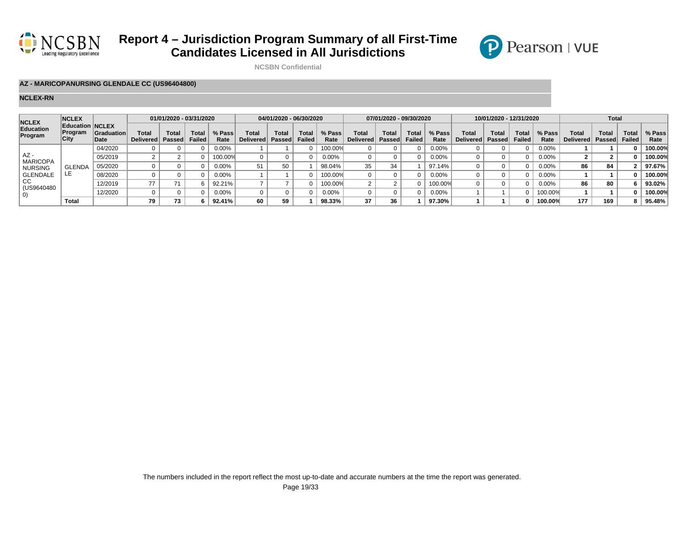



**NCSBN Confidential**

### **AZ - MARICOPANURSING GLENDALE CC (US96404800)**

| <b>NCLEX</b>              | <b>NCLEX</b>                                     |                           |                                  | 01/01/2020 - 03/31/2020 |                        |                |                    | 04/01/2020 - 06/30/2020 |                |                |                           | 07/01/2020 - 09/30/2020 |                        |                |                           | 10/01/2020 - 12/31/2020 |                        |                |                           | <b>Total</b>   |                 |                |
|---------------------------|--------------------------------------------------|---------------------------|----------------------------------|-------------------------|------------------------|----------------|--------------------|-------------------------|----------------|----------------|---------------------------|-------------------------|------------------------|----------------|---------------------------|-------------------------|------------------------|----------------|---------------------------|----------------|-----------------|----------------|
| Education<br>Program      | <b>Education NCLEX</b><br>Program<br><b>City</b> | <b>Graduation</b><br>Date | <b>Total</b><br><b>Delivered</b> | Total<br>Passed         | Total<br><b>Failed</b> | % Pass<br>Rate | Total<br>Delivered | Total<br>Passed         | Tota<br>Failed | % Pass<br>Rate | Total<br><b>Delivered</b> | Total<br>Passed         | Total<br><b>Failed</b> | % Pass<br>Rate | <b>Total</b><br>Delivered | Total<br>Passed         | <b>Total</b><br>Failed | % Pass<br>Rate | Total<br><b>Delivered</b> | Tota<br>Passed | Total<br>Failed | % Pass<br>Rate |
|                           |                                                  | 04/2020                   |                                  |                         |                        | $0.00\%$       |                    |                         |                | 100.00%        |                           |                         |                        | $0.00\%$       |                           |                         |                        | $0.00\%$       |                           |                |                 | 100.00%        |
| $AZ -$<br><b>MARICOPA</b> |                                                  | 05/2019                   |                                  |                         |                        | 100.00%        |                    |                         |                | $0.00\%$       |                           |                         |                        | 0.00%          |                           |                         |                        | $0.00\%$       |                           |                |                 | 100.00%        |
| <b>NURSING</b>            | <b>GLENDA</b>                                    | 05/2020                   |                                  |                         |                        | $0.00\%$       |                    | 50                      |                | 98.04%         | 35                        | 34                      |                        | 97.14%         |                           |                         |                        | $0.00\%$       | 86                        | 84             |                 | 97.67%         |
| GLENDALE                  |                                                  | 08/2020                   |                                  |                         |                        | 0.00%          |                    |                         |                | 100.00%        |                           |                         |                        | $0.00\%$       |                           |                         |                        | $0.00\%$       |                           |                |                 | 100.00%        |
| CC<br>(US9640480)         |                                                  | 12/2019                   | 77                               |                         |                        | 92.21%         |                    |                         |                | 100.00%        |                           |                         |                        | 100.00%        |                           |                         |                        | $0.00\%$       | 96                        | 80             |                 | 93.02%         |
| 0)                        |                                                  | 12/2020                   |                                  |                         |                        | 0.00%          |                    |                         |                | $0.00\%$       |                           |                         |                        | 0.00%          |                           |                         |                        | 100.00%        |                           |                |                 | 100.00%        |
|                           | <b>Total</b>                                     |                           | 79                               | 73                      |                        | 92.41%         | 60                 | 59                      |                | 98.33%         | 37                        | 36                      |                        | 97.30%         |                           |                         |                        | 100.00%        | 177                       | 169            |                 | 95.48%         |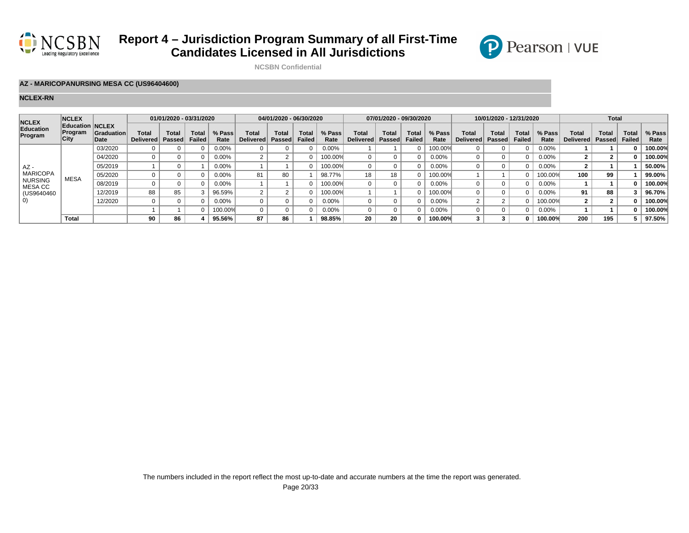

**NCSBN Confidential**

### **AZ - MARICOPANURSING MESA CC (US96404600)**

#### **NCLEX-RN**

| <b>NCLEX</b>              | <b>NCLEX</b>                                            |                            |                           | 01/01/2020 - 03/31/2020 |                        |                |                                  | 04/01/2020 - 06/30/2020 |                |                |                           | 07/01/2020 - 09/30/2020 |                        |                |                           | 10/01/2020 - 12/31/2020 |                               |                |                           | <b>Total</b>          |                               |                |
|---------------------------|---------------------------------------------------------|----------------------------|---------------------------|-------------------------|------------------------|----------------|----------------------------------|-------------------------|----------------|----------------|---------------------------|-------------------------|------------------------|----------------|---------------------------|-------------------------|-------------------------------|----------------|---------------------------|-----------------------|-------------------------------|----------------|
| Education<br>Program      | <b>Education NCLEX</b><br><b>Program</b><br><b>City</b> | <b>Graduation</b><br>∣Date | Total<br><b>Delivered</b> | Total<br><b>Passed</b>  | Total<br><b>Failed</b> | % Pass<br>Rate | <b>Total</b><br><b>Delivered</b> | Total<br><b>Passed</b>  | Tota<br>Failed | % Pass<br>Rate | Total<br><b>Delivered</b> | Total<br>Passed         | Total<br><b>Failed</b> | % Pass<br>Rate | <b>Total</b><br>Delivered | Total<br>Passed         | <b>Total</b><br><b>Failed</b> | % Pass<br>Rate | Total<br><b>Delivered</b> | <b>Tota</b><br>Passed | <b>Total</b><br><b>Failed</b> | % Pass<br>Rate |
|                           |                                                         | 03/2020                    |                           |                         |                        | 0.00%          |                                  |                         |                | $0.00\%$       |                           |                         |                        | 100.00%        |                           |                         |                               | 0.00%          |                           |                       |                               | 100.00%        |
|                           |                                                         | 04/2020                    | $\Omega$                  |                         |                        | $0.00\%$       |                                  |                         | $\Omega$       | 100.00%        |                           |                         |                        | 0.00%          |                           |                         |                               | 0.00%          |                           |                       |                               | 100.00%        |
| $AZ -$                    |                                                         | 05/2019                    |                           |                         |                        | $0.00\%$       |                                  |                         |                | 100.00%        |                           |                         |                        | 0.00%          |                           |                         |                               | 0.00%          |                           |                       |                               | 50.00%         |
| <b>MARICOPA</b>           | <b>MESA</b>                                             | 05/2020                    |                           |                         |                        | $0.00\%$       | 81                               | 80                      |                | 98.77%         | 18                        | 18                      |                        | 100.00%        |                           |                         |                               | 100.00%        | 100                       | 99                    |                               | 99.00%         |
| <b>NURSING</b><br>MESA CC |                                                         | 08/2019                    | $\Omega$                  |                         |                        | 0.00%          |                                  |                         | $\Omega$       | 100.00%        |                           |                         |                        | $0.00\%$       |                           |                         |                               | 0.00%          |                           |                       |                               | 100.00%        |
| (US9640460                |                                                         | 12/2019                    | 88                        | 85                      |                        | 96.59%         |                                  |                         | $\Omega$       | 100.00%        |                           |                         |                        | 100.00%        |                           |                         |                               | 0.00%          | 91                        | 88                    |                               | 96.70%         |
| 0)                        |                                                         | 12/2020                    |                           |                         |                        | 0.00%          |                                  |                         |                | $0.00\%$       |                           |                         |                        | 0.00%          |                           |                         |                               | 100.00%        |                           |                       |                               | 100.00%        |
|                           |                                                         |                            |                           |                         |                        | 100.00%        |                                  |                         | $\Omega$       | $0.00\%$       |                           |                         |                        | 0.00%          |                           |                         |                               | 0.00%          |                           |                       |                               | 100.00%        |
|                           | Total                                                   |                            | 90                        | 86                      |                        | 95.56%         | 87                               | 86                      |                | 98.85%         | 20                        | 20                      |                        | 100.00%        |                           |                         |                               | 100.00%        | 200                       | 195                   |                               | 97.50%         |

P Pearson | VUE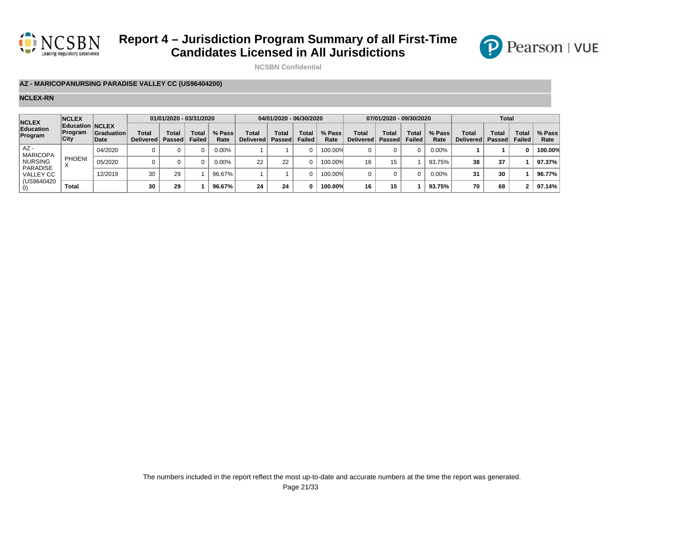



**NCSBN Confidential**

### **AZ - MARICOPANURSING PARADISE VALLEY CC (US96404200)**

| <b>NCLEX</b>                        | <b>NCLEX</b>                              |                    |                           | 01/01/2020 - 03/31/2020 |                               |                |                           | 04/01/2020 - 06/30/2020 |                        |                |                    | 07/01/2020 - 09/30/2020 |                        |                |                           | Total                  |                        |                |
|-------------------------------------|-------------------------------------------|--------------------|---------------------------|-------------------------|-------------------------------|----------------|---------------------------|-------------------------|------------------------|----------------|--------------------|-------------------------|------------------------|----------------|---------------------------|------------------------|------------------------|----------------|
| Education<br>Program                | <b>Education NCLEX</b><br>Program<br>City | Graduation<br>Date | Total<br><b>Delivered</b> | Total<br>Passed         | <b>Total</b><br><b>Failed</b> | % Pass<br>Rate | Total<br><b>Delivered</b> | Total<br><b>Passed</b>  | Total<br><b>Failed</b> | % Pass<br>Rate | Total<br>Delivered | Total<br><b>Passed</b>  | <b>Total</b><br>Failed | % Pass<br>Rate | Total<br><b>Delivered</b> | <b>Total</b><br>Passed | Total<br><b>Failed</b> | % Pass<br>Rate |
| AZ -<br><b>MARICOPA</b>             |                                           | 04/2020            |                           |                         |                               | $0.00\%$       |                           |                         |                        | 100.00%        |                    |                         |                        | 0.00%          |                           |                        |                        | 100.00%        |
| <b>NURSING</b>                      | <b>PHOENI</b>                             | 05/2020            |                           |                         |                               | $0.00\%$       | 22                        | 22                      | n.                     | 100.00%        | 16                 | 15                      |                        | 93.75%         | 38                        | 37                     |                        | 97.37%         |
| <b>PARADISE</b><br><b>VALLEY CC</b> |                                           | 12/2019            | 30                        | 29                      |                               | 96.67%         |                           |                         |                        | 100.00%        |                    |                         |                        | 0.00%          | 31                        | 30                     |                        | 96.77%         |
| (US9640420)<br>U)                   | Total                                     |                    | 30                        | 29                      |                               | 96.67%         | 24                        | 24                      | n.                     | 100.00%        | 16                 | 15                      |                        | 93.75%         | 70                        | 68                     | ົ                      | 97.14%         |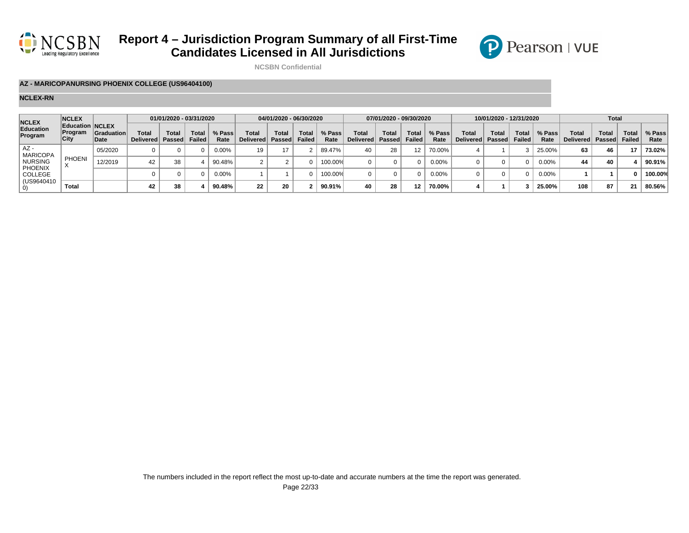



**NCSBN Confidential**

### **AZ - MARICOPANURSING PHOENIX COLLEGE (US96404100)**

| <b>NCLEX</b>              | <b>NCLEX</b>                                            |                           |                           | 01/01/2020 - 03/31/2020 |                               |                |                    | 04/01/2020 - 06/30/2020 |                |                |                             | 07/01/2020 - 09/30/2020 |                        |                |                                  | 10/01/2020 - 12/31/2020 |                        |                |                    | <b>Total</b>   |                               |                |
|---------------------------|---------------------------------------------------------|---------------------------|---------------------------|-------------------------|-------------------------------|----------------|--------------------|-------------------------|----------------|----------------|-----------------------------|-------------------------|------------------------|----------------|----------------------------------|-------------------------|------------------------|----------------|--------------------|----------------|-------------------------------|----------------|
| Education<br>Program      | <b>Education NCLEX</b><br><b>Program</b><br><b>City</b> | <b>Graduation</b><br>Date | <b>Total</b><br>Delivered | <b>Total</b><br>Passed  | <b>Total</b><br><b>Failed</b> | % Pass<br>Rate | Total<br>Delivered | Total<br>Passed         | Tota<br>Failed | % Pass<br>Rate | Total<br>Delivered   Passed | Total                   | Total<br><b>Failed</b> | % Pass<br>Rate | <b>Total</b><br>Delivered Passed | Total                   | <b>Total</b><br>Failed | % Pass<br>Rate | Total<br>Delivered | Tota<br>Passed | <b>Total</b><br><b>Failed</b> | % Pass<br>Rate |
| AZ -<br><b>MARICOPA</b>   |                                                         | 05/2020                   |                           |                         |                               | $0.00\%$       | 19.                |                         |                | 89.47%         | 40                          | 28                      |                        | 70.00%         |                                  |                         |                        | 25.00%         | 63                 | 46             | 47                            | 73.02%         |
| <b>NURSING</b>            | <b>PHOENI</b>                                           | 12/2019                   | 42                        | 38                      |                               | 90.48%         |                    |                         |                | 100.00%        |                             |                         |                        | 0.00%          |                                  |                         |                        | 0.00%          | 44                 | 40             |                               | 90.91%         |
| <b>PHOENIX</b><br>COLLEGE |                                                         |                           |                           |                         |                               | $0.00\%$       |                    |                         |                | 100.00%        |                             |                         |                        | 0.00%          |                                  |                         |                        | 0.00%          |                    |                |                               | 100.00%        |
| (US9640410                | Total                                                   |                           | 42                        | 38                      |                               | 90.48%         | 22                 | 20                      |                | 90.91%         | 40                          | 28                      |                        | 70.00%         |                                  |                         |                        | 25.00%         | 108                | 87             | 21                            | 80.56%         |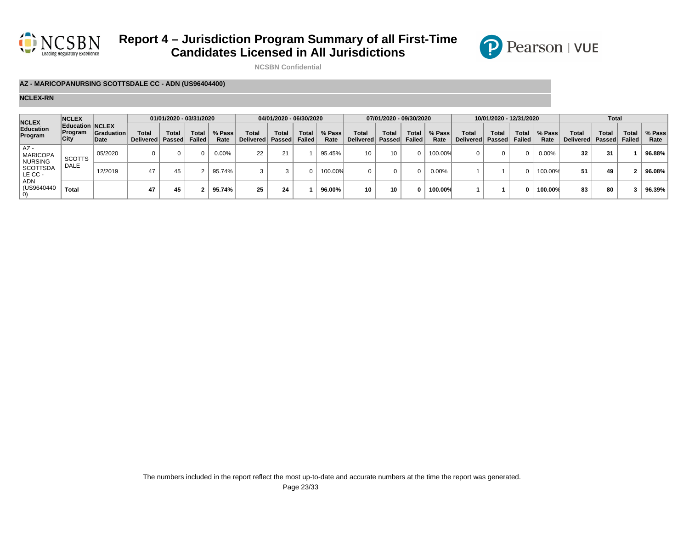



**NCSBN Confidential**

### **AZ - MARICOPANURSING SCOTTSDALE CC - ADN (US96404400)**

| <b>NCLEX</b>                             | <b>NCLEX</b>                              |                     |                           | 01/01/2020 - 03/31/2020 |                               |                |                           | 04/01/2020 - 06/30/2020  |                        |                |                    | 07/01/2020 - 09/30/2020   |                               |                |                    | 10/01/2020 - 12/31/2020 |                        |                |                                  | <b>Total</b>           |                        |                |
|------------------------------------------|-------------------------------------------|---------------------|---------------------------|-------------------------|-------------------------------|----------------|---------------------------|--------------------------|------------------------|----------------|--------------------|---------------------------|-------------------------------|----------------|--------------------|-------------------------|------------------------|----------------|----------------------------------|------------------------|------------------------|----------------|
| Education<br>Program                     | <b>Education NCLEX</b><br>Program<br>City | Graduation<br>∣Date | Total<br><b>Delivered</b> | <b>Total</b><br>Passed  | <b>Total</b><br><b>Failed</b> | % Pass<br>Rate | Total<br><b>Delivered</b> | <b>Total</b><br>∣Passed⊺ | Total<br><b>Failed</b> | % Pass<br>Rate | Total<br>Delivered | <b>Total</b><br>∣ Passed∣ | <b>Total</b><br><b>Failed</b> | % Pass<br>Rate | Total<br>Delivered | Total<br>∣Passed⊺       | Total<br><b>Failed</b> | % Pass<br>Rate | <b>Total</b><br><b>Delivered</b> | <b>Total</b><br>Passed | Total<br><b>Failed</b> | % Pass<br>Rate |
| AZ-<br><b>MARICOPA</b><br><b>NURSING</b> | <b>SCOTTS</b>                             | 05/2020             |                           | 0                       |                               | $0.00\%$       | 22                        | $^{\circ}$<br>∠          |                        | 95.45%         | 10                 | 10 <sup>1</sup>           |                               | 100.00%        |                    | O.                      |                        | 0.00%          | 32                               | 31                     |                        | 96.88%         |
| <b>SCOTTSDA</b><br>LE CC -               | <b>DALE</b>                               | 12/2019             | 47                        | 45                      |                               | 95.74%         |                           |                          |                        | 100.00%        | 0                  | O.                        |                               | 0.00%          |                    |                         |                        | 100.00%        | 51                               | 49                     |                        | 96.08%         |
| ADN<br>(US9640440                        | Total                                     |                     | 47                        | 45                      |                               | 95.74%         | 25                        | 24                       |                        | 96.00%         | 10                 | 10                        | <sup>0</sup>                  | 100.00%        |                    |                         |                        | 100.00%        | 83                               | 80                     |                        | 96.39%         |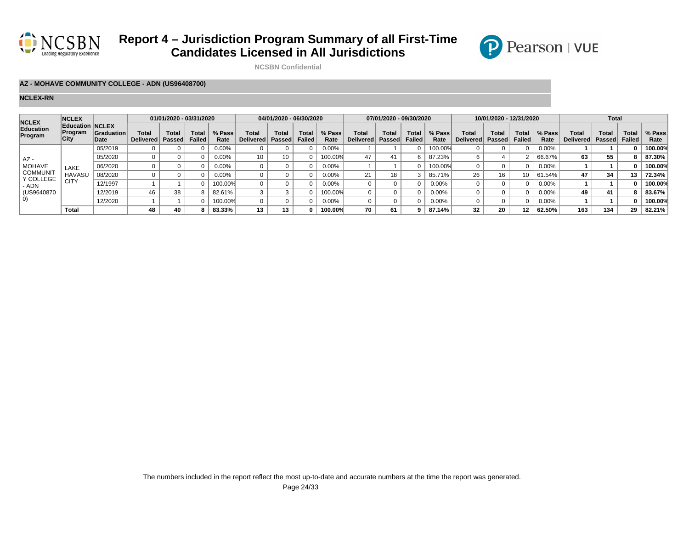



**NCSBN Confidential**

### **AZ - MOHAVE COMMUNITY COLLEGE - ADN (US96408700)**

| <b>NCLEX</b>         | <b>NCLEX</b>                                     |                    |                                  | 01/01/2020 - 03/31/2020 |                        |                |                    | 04/01/2020 - 06/30/2020 |                |                |                           | 07/01/2020 - 09/30/2020 |                               |                |                    | 10/01/2020 - 12/31/2020 |                               |                |                    | <b>Total</b>   |                               |                |
|----------------------|--------------------------------------------------|--------------------|----------------------------------|-------------------------|------------------------|----------------|--------------------|-------------------------|----------------|----------------|---------------------------|-------------------------|-------------------------------|----------------|--------------------|-------------------------|-------------------------------|----------------|--------------------|----------------|-------------------------------|----------------|
| Education<br>Program | <b>Education NCLEX</b><br>Program<br><b>City</b> | Graduation<br>Date | <b>Total</b><br><b>Delivered</b> | Total<br><b>Passed</b>  | Total<br><b>Failed</b> | % Pass<br>Rate | Total<br>Delivered | Total<br>Passed         | Tota<br>Failed | % Pass<br>Rate | Total<br><b>Delivered</b> | Tota.<br>Passed         | <b>Total</b><br><b>Failed</b> | % Pass<br>Rate | Total<br>Delivered | Total<br>Passed         | <b>Total</b><br><b>Failed</b> | % Pass<br>Rate | Total<br>Delivered | Tota<br>Passed | <b>Total</b><br><b>Failed</b> | % Pass<br>Rate |
|                      |                                                  | 05/2019            |                                  |                         |                        | $0.00\%$       |                    |                         |                | 0.00%          |                           |                         |                               | $00.00\%$      |                    |                         |                               | $0.00\%$       |                    |                |                               | 100.00%        |
| $AZ -$               |                                                  | 05/2020            |                                  |                         |                        | 0.00%          | 10 <sup>°</sup>    | 10                      |                | 100.00%        | 47                        |                         |                               | 87.23%         |                    |                         |                               | 66.67%         | 63                 | 55             |                               | 87.30%         |
| <b>MOHAVE</b>        | LAKE                                             | 06/2020            |                                  |                         |                        | 0.00%          |                    |                         |                | 0.00%          |                           |                         |                               | 100.00%        |                    |                         |                               | 0.00%          |                    |                |                               | 100.00%        |
| <b>COMMUNIT</b>      | <b>HAVASU</b>                                    | 08/2020            |                                  |                         |                        | 0.00%          |                    |                         |                | $0.00\%$       | 21                        | 18                      |                               | 85.71%         | 26                 | 16                      | 10                            | 61.54%         | 47                 | 34             | 13                            | 72.34%         |
| Y COLLEGE<br>- ADN   | CITY                                             | 12/1997            |                                  |                         |                        | 100.00%        |                    |                         |                | $0.00\%$       |                           |                         |                               | 0.00%          |                    |                         |                               | $0.00\%$       |                    |                |                               | 100.00%        |
| (US9640870)          |                                                  | 12/2019            | 46                               | 38                      |                        | 82.61%         |                    |                         |                | 100.00%        |                           |                         |                               | 0.00%          |                    |                         |                               | 0.00%          |                    | 41             |                               | 83.67%         |
| $\vert 0 \rangle$    |                                                  | 12/2020            |                                  |                         |                        | 100.00%        |                    |                         |                | $0.00\%$       |                           |                         |                               | $0.00\%$       |                    |                         |                               | 0.00%          |                    |                |                               | 100.00%        |
|                      | Total                                            |                    | 48                               | 40                      |                        | 83.33%         | 13                 |                         |                | 100.00%        | 70                        | 61                      | a                             | 87.14%         | 32                 | 20                      | 12                            | 62.50%         | 163                | 134            | 29                            | 82.21%         |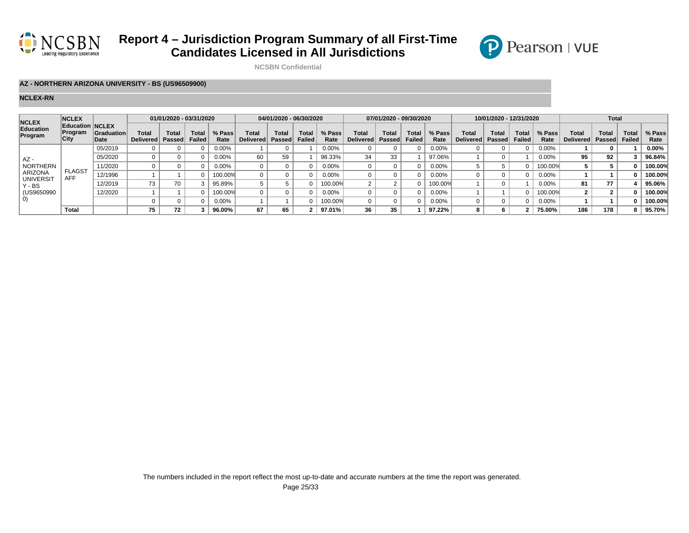



**NCSBN Confidential**

### **AZ - NORTHERN ARIZONA UNIVERSITY - BS (US96509900)**

| <b>NCLEX</b>               | <b>NCLEX</b>                              |                           |                           | 01/01/2020 - 03/31/2020 |                        |                |                    | 04/01/2020 - 06/30/2020 |                |                |                           | 07/01/2020 - 09/30/2020 |                               |                |                    | 10/01/2020 - 12/31/2020 |                        |                |                    | <b>Total</b>    |                               |                |
|----------------------------|-------------------------------------------|---------------------------|---------------------------|-------------------------|------------------------|----------------|--------------------|-------------------------|----------------|----------------|---------------------------|-------------------------|-------------------------------|----------------|--------------------|-------------------------|------------------------|----------------|--------------------|-----------------|-------------------------------|----------------|
| Education<br>Program       | <b>Education NCLEX</b><br>Program<br>City | <b>Graduation</b><br>Date | Total<br><b>Delivered</b> | Total<br><b>Passed</b>  | Total<br><b>Failed</b> | % Pass<br>Rate | Total<br>Delivered | Total<br>Passed         | Tota<br>Failed | % Pass<br>Rate | Total<br><b>Delivered</b> | Tota.<br>Passed         | <b>Total</b><br><b>Failed</b> | % Pass<br>Rate | Total<br>Delivered | Total<br>Passed         | <b>Total</b><br>Failed | % Pass<br>Rate | Total<br>Delivered | Total<br>Passed | <b>Total</b><br><b>Failed</b> | % Pass<br>Rate |
|                            |                                           | 05/2019                   |                           |                         |                        | $0.00\%$       |                    |                         |                | 0.00%          |                           |                         |                               | 0.00%          |                    |                         |                        | $0.00\%$       |                    |                 |                               | $0.00\%$       |
| $AZ -$                     |                                           | 05/2020                   |                           |                         |                        | 0.00%          | 60                 | 59                      |                | 98.33%         | 34                        | 33                      |                               | 97.06%         |                    |                         |                        | 0.00%          | 95                 | 92              |                               | 96.84%         |
| NORTHERN                   |                                           | 11/2020                   |                           |                         |                        | 0.00%          |                    |                         |                | 0.00%          |                           |                         |                               | $0.00\%$       |                    |                         |                        | 100.00%        |                    |                 |                               | 100.00%        |
| <b>ARIZONA</b>             | <b>FLAGST</b><br><b>AFF</b>               | 12/1996                   |                           |                         |                        | 100.00%        |                    |                         |                | $0.00\%$       |                           |                         |                               | $0.00\%$       |                    |                         |                        | 0.00%          |                    |                 |                               | 100.00%        |
| <b>UNIVERSIT</b><br>Y - BS |                                           | 12/2019                   | 73                        | 70                      |                        | 95.89%         |                    |                         |                | 100.00%        |                           |                         |                               | $00.00\%$      |                    |                         |                        | 0.00%          | 81                 | 77              |                               | 95.06%         |
| (US9650990)                |                                           | 12/2020                   |                           |                         |                        | 100.00%        |                    |                         |                | 0.00%          |                           |                         |                               | 0.00%          |                    |                         |                        | 100.00%        |                    |                 |                               | 100.00%        |
| $\vert$ O)                 |                                           |                           |                           |                         |                        | 0.00%          |                    |                         |                | 100.00%        |                           |                         |                               | 0.00%          |                    |                         |                        | 0.00%          |                    |                 |                               | 100.00%        |
|                            | Total                                     |                           | 75                        | 72                      |                        | 96.00%         | 67                 | 65                      |                | 97.01%         | 36                        | 35                      |                               | 97.22%         |                    |                         |                        | 75.00%         | 186                | 178             |                               | 95.70%         |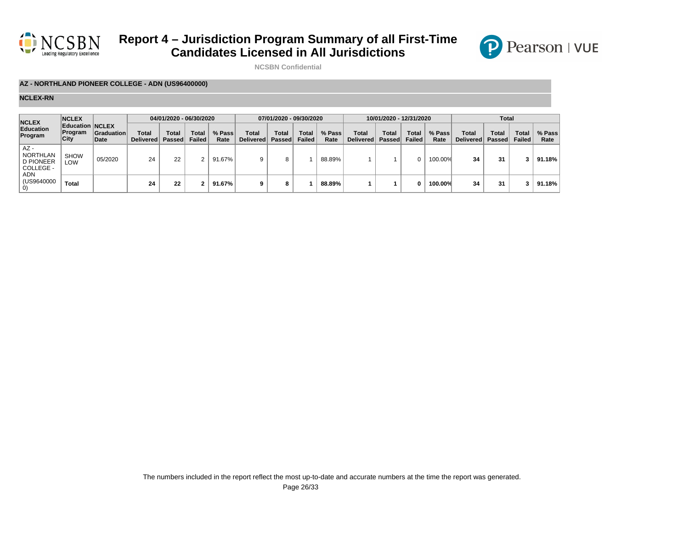



**NCSBN Confidential**

### **AZ - NORTHLAND PIONEER COLLEGE - ADN (US96400000)**

| <b>NCLEX</b>                                                             | <b>NCLEX</b>                              |                           |                             | 04/01/2020 - 06/30/2020 |                        |                |                                  | 07/01/2020 - 09/30/2020 |                        |                |                    | 10/01/2020 - 12/31/2020 |                        |                |                           | Total                         |                               |                |
|--------------------------------------------------------------------------|-------------------------------------------|---------------------------|-----------------------------|-------------------------|------------------------|----------------|----------------------------------|-------------------------|------------------------|----------------|--------------------|-------------------------|------------------------|----------------|---------------------------|-------------------------------|-------------------------------|----------------|
| Education<br>Program                                                     | <b>Education NCLEX</b><br>Program<br>City | <b>Graduation</b><br>Date | Total<br>Delivered <b> </b> | Total<br>Passed         | <b>Total</b><br>Failed | % Pass<br>Rate | <b>Total</b><br><b>Delivered</b> | Total<br>Passed         | Total<br><b>Failed</b> | % Pass<br>Rate | Total<br>Delivered | Total<br>Passed         | <b>Total</b><br>Failed | % Pass<br>Rate | Total<br><b>Delivered</b> | <b>Total</b><br><b>Passed</b> | <b>Total</b><br><b>Failed</b> | % Pass<br>Rate |
| $AZ -$<br><b>NORTHLAN</b><br><b>D PIONEER</b><br>COLLEGE -<br><b>ADN</b> | <b>SHOW</b><br>LOW                        | 05/2020                   | 24                          | 22                      |                        | 91.67%         |                                  |                         |                        | 88.89%         |                    |                         |                        | 100.00%        | 34                        | 31                            |                               | 91.18%         |
| (US9640000<br>$\left( 0\right)$                                          | <b>Total</b>                              |                           | 24                          | 22                      |                        | 91.67%         |                                  | 8                       |                        | 88.89%         |                    |                         | O                      | 100.00%        | 34                        | 31                            | 3                             | 91.18%         |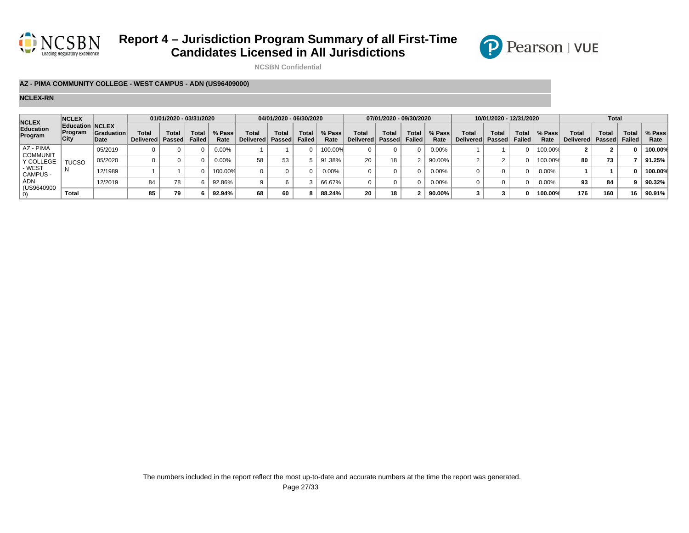



**NCSBN Confidential**

### **AZ - PIMA COMMUNITY COLLEGE - WEST CAMPUS - ADN (US96409000)**

| <b>NCLEX</b>                 | <b>NCLEX</b>                                            |                           |                           | 01/01/2020 - 03/31/2020 |                               |                |                           | 04/01/2020 - 06/30/2020 |                       |                |                    | 07/01/2020 - 09/30/2020 |                               |                |                                  | 10/01/2020 - 12/31/2020 |                               |                |                    | <b>Total</b>          |                               |                |
|------------------------------|---------------------------------------------------------|---------------------------|---------------------------|-------------------------|-------------------------------|----------------|---------------------------|-------------------------|-----------------------|----------------|--------------------|-------------------------|-------------------------------|----------------|----------------------------------|-------------------------|-------------------------------|----------------|--------------------|-----------------------|-------------------------------|----------------|
| Education<br>Program         | <b>Education NCLEX</b><br><b>Program</b><br><b>City</b> | <b>Graduation</b><br>Date | Total<br><b>Delivered</b> | <b>Total</b><br>Passed  | <b>Total</b><br><b>Failed</b> | % Pass<br>Rate | <b>Total</b><br>Delivered | Total<br>Passed         | Tota<br><b>Failed</b> | % Pass<br>Rate | Total<br>Delivered | <b>Total</b><br>Passed  | <b>Total</b><br><b>Failed</b> | % Pass<br>Rate | <b>Total</b><br>Delivered Passed | Total                   | <b>Total</b><br><b>Failed</b> | % Pass<br>Rate | Total<br>Delivered | <b>Tota</b><br>Passed | <b>Total</b><br><b>Failed</b> | % Pass<br>Rate |
| AZ - PIMA<br><b>COMMUNIT</b> |                                                         | 05/2019                   |                           |                         |                               | 0.00%          |                           |                         |                       | 100.00%        |                    |                         |                               | $0.00\%$       |                                  |                         |                               | 100.00%        |                    |                       |                               | 100.00%        |
| Y COLLEGE                    | TUCSO                                                   | 05/2020                   |                           |                         |                               | $0.00\%$       | 58                        | 53                      |                       | 91.38%         | 20                 | 18                      |                               | 90.00%         |                                  |                         |                               | 100.00%        | 80                 | 73                    |                               | 91.25%         |
| - WEST<br>CAMPUS -           |                                                         | 12/1989                   |                           |                         |                               | 100.00%        |                           |                         |                       | $0.00\%$       |                    |                         |                               | $0.00\%$       |                                  |                         |                               | 0.00%          |                    |                       |                               | 100.00%        |
| ADN<br>(US9640900            |                                                         | 12/2019                   | 84                        | 78                      |                               | 92.86%         |                           |                         |                       | 66.67%         |                    |                         |                               | 0.00%          |                                  |                         |                               | 0.00%          | 93                 | 84                    |                               | 90.32%         |
| O)                           | <b>Total</b>                                            |                           | 85                        | 79                      |                               | $92.94\%$      | 68                        | 60                      |                       | 88.24%         | 20                 | 18                      |                               | 90.00%         |                                  |                         |                               | 100.00%        | 176                | 160                   | 16                            | 90.91%         |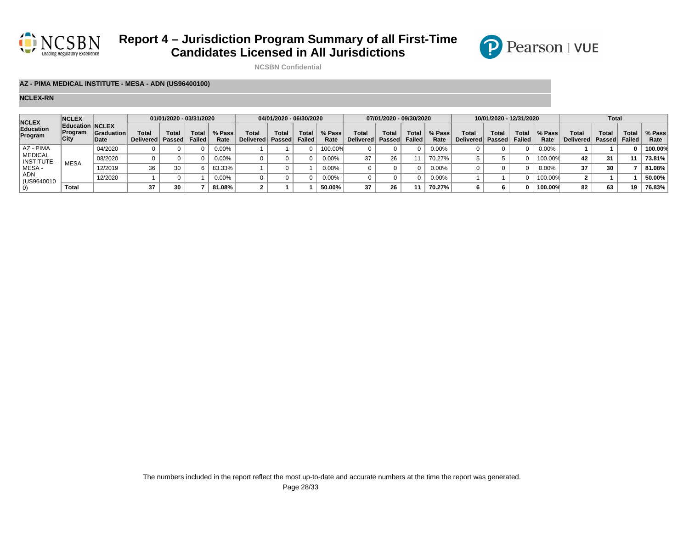



**NCSBN Confidential**

### **AZ - PIMA MEDICAL INSTITUTE - MESA - ADN (US96400100)**

| <b>NCLEX</b>                         | <b>NCLEX</b>                              |                           |                                  | 01/01/2020 - 03/31/2020 |                        |                |                   | 04/01/2020 - 06/30/2020 |                 |                |                             | 07/01/2020 - 09/30/2020 |                 |                |                                  | 10/01/2020 - 12/31/2020 |                 |                |                    | Total          |                        |                |
|--------------------------------------|-------------------------------------------|---------------------------|----------------------------------|-------------------------|------------------------|----------------|-------------------|-------------------------|-----------------|----------------|-----------------------------|-------------------------|-----------------|----------------|----------------------------------|-------------------------|-----------------|----------------|--------------------|----------------|------------------------|----------------|
| Education<br>Program                 | <b>Education NCLEX</b><br>Program<br>City | <b>Graduation</b><br>Date | <b>Total</b><br><b>Delivered</b> | <b>Total</b><br>Passed  | <b>Total</b><br>Failed | % Pass<br>Rate | Tota<br>Delivered | <b>Total</b><br>Passed  | Total<br>Failed | % Pass<br>Rate | Total<br>Delivered   Passed | Total                   | Total<br>Failed | % Pass<br>Rate | <b>Total</b><br>Delivered Passed | Total                   | Total<br>Failed | % Pass<br>Rate | Total<br>Delivered | Tota<br>Passed | Total<br><b>Failed</b> | % Pass<br>Rate |
| AZ - PIMA                            |                                           | 04/2020                   |                                  |                         |                        | $0.00\%$       |                   |                         |                 | 100.00%        |                             |                         |                 | $0.00\%$       |                                  |                         |                 | 0.00%          |                    |                |                        | 100.00%        |
| <b>MEDICAL</b><br><b>INSTITUTE -</b> | <b>MESA</b>                               | 08/2020                   |                                  |                         |                        | $0.00\%$       |                   |                         |                 | $0.00\%$       | 37                          |                         |                 | 70.27%         |                                  |                         |                 | 100.00%        |                    | 31             |                        | 73.81%         |
| MESA -                               |                                           | 12/2019                   | 36                               | 30                      |                        | 83.33%         |                   |                         |                 | $0.00\%$       |                             |                         |                 | $0.00\%$       |                                  |                         |                 | 0.00%          | 37                 | 30             |                        | 81.08%         |
| ADN<br>(US9640010                    |                                           | 12/2020                   |                                  |                         |                        | 0.00%          |                   |                         |                 | $0.00\%$       |                             |                         |                 | $0.00\%$       |                                  |                         |                 | 100.00%        |                    |                |                        | 50.00%         |
|                                      | <b>Total</b>                              |                           | 37                               | 30                      |                        | 81.08%         |                   |                         |                 | 50.00%         | 37                          |                         |                 | 70.27%         |                                  |                         |                 | 100.00%        | 82                 | 63             | 19                     | 76.83%         |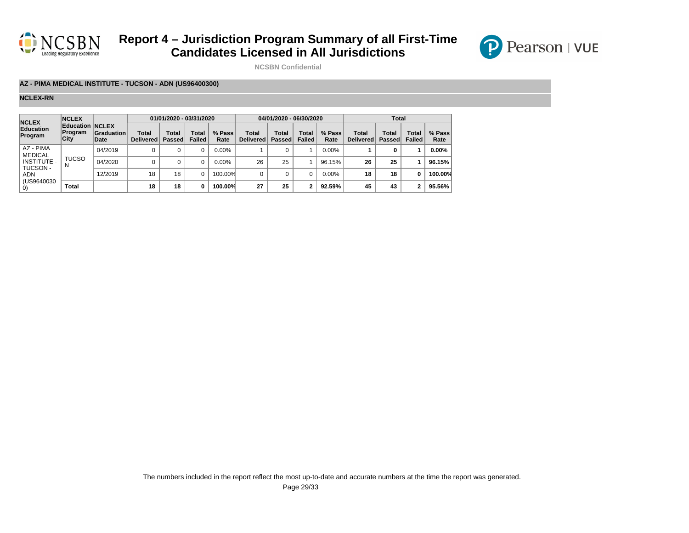



**NCSBN Confidential**

### **AZ - PIMA MEDICAL INSTITUTE - TUCSON - ADN (US96400300)**

| <b>NCLEX</b>                | <b>NCLEX</b>                       |                    |                           | 01/01/2020 - 03/31/2020 |                        |                |                    | 04/01/2020 - 06/30/2020 |                        |                |                           | <b>Total</b>    |                        |                |
|-----------------------------|------------------------------------|--------------------|---------------------------|-------------------------|------------------------|----------------|--------------------|-------------------------|------------------------|----------------|---------------------------|-----------------|------------------------|----------------|
| Education<br>Program        | Education NCLEX<br>Program<br>City | Graduation<br>Date | Total<br><b>Delivered</b> | Total<br><b>Passed</b>  | Total<br><b>Failed</b> | % Pass<br>Rate | Total<br>Delivered | <b>Total</b><br>Passed  | Total<br><b>Failed</b> | % Pass<br>Rate | Total<br><b>Delivered</b> | Total<br>Passed | Total<br><b>Failed</b> | % Pass<br>Rate |
| AZ - PIMA<br><b>MEDICAL</b> |                                    | 04/2019            |                           |                         |                        | $0.00\%$       |                    |                         |                        | 0.00%          |                           | 0               |                        | $0.00\%$       |
| <b>INSTITUTE -</b>          | <b>TUCSO</b><br>N                  | 04/2020            |                           |                         |                        | $0.00\%$       | 26                 | 25                      |                        | 96.15%         | 26                        | 25              |                        | 96.15%         |
| <b>TUCSON-</b><br>ADN       |                                    | 12/2019            | 18                        | 18                      |                        | 100.00%        |                    | 0                       | 0                      | 0.00%          | 18                        | 18              | o                      | 100.00%        |
| (US9640030                  | <b>Total</b>                       |                    | 18                        | 18                      | o                      | 100.00%        | 27                 | 25                      | ົ                      | 92.59%         | 45                        | 43              |                        | 95.56%         |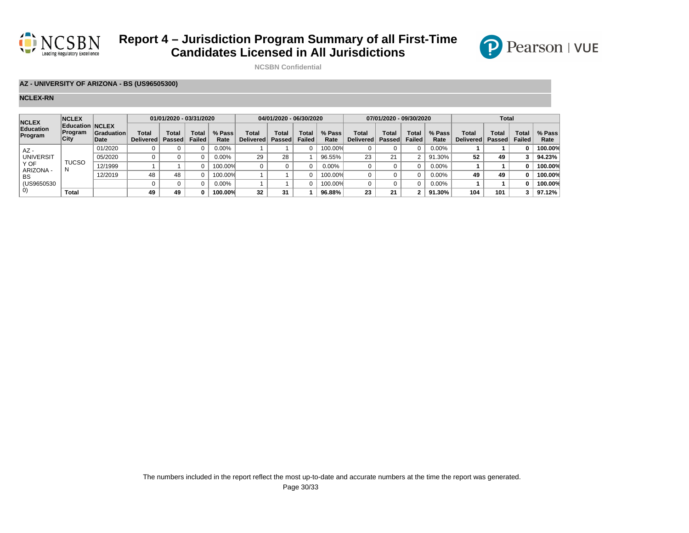



**NCSBN Confidential**

### **AZ - UNIVERSITY OF ARIZONA - BS (US96505300)**

| <b>NCLEX</b><br>Education<br>Program | <b>NCLEX</b>    |                                                     |                           | 01/01/2020 - 03/31/2020 |                 |                |                           | 04/01/2020 - 06/30/2020 |                 |                |                    | 07/01/2020 - 09/30/2020 |                 |                | <b>Total</b>              |                        |                        |                |  |
|--------------------------------------|-----------------|-----------------------------------------------------|---------------------------|-------------------------|-----------------|----------------|---------------------------|-------------------------|-----------------|----------------|--------------------|-------------------------|-----------------|----------------|---------------------------|------------------------|------------------------|----------------|--|
|                                      | Program<br>City | <b>Education NCLEX</b><br><b>Graduation</b><br>Date | Total<br><b>Delivered</b> | Total<br>Passed         | Total<br>Failed | % Pass<br>Rate | Total<br><b>Delivered</b> | Total<br>Passed         | Total<br>Failed | % Pass<br>Rate | Total<br>Delivered | Total<br>Passed         | Total<br>Failed | % Pass<br>Rate | Total<br><b>Delivered</b> | Total<br><b>Passed</b> | Total<br><b>Failed</b> | % Pass<br>Rate |  |
| AZ-<br><b>UNIVERSIT</b>              |                 | 01/2020                                             |                           |                         |                 | $0.00\%$       |                           |                         |                 | 100.00%        |                    |                         |                 | 0.00%          |                           |                        |                        | 100.00%        |  |
|                                      |                 | 05/2020                                             |                           |                         |                 | $0.00\%$       | 29                        | 28                      |                 | 96.55%         | 23                 | 21                      | ◠               | 91.30%         | 52                        | 49                     | 3                      | 94.23%         |  |
| Y OF                                 | TUCSO           | 12/1999                                             |                           |                         |                 | 100.00%        |                           |                         |                 | 0.00%          |                    |                         |                 | $0.00\%$       |                           |                        |                        | 100.00%        |  |
| ARIZONA -<br>BS                      |                 | 12/2019                                             | 48                        | 48                      |                 | 100.00%        |                           |                         |                 | 100.00%        |                    |                         |                 | $0.00\%$       | 49                        | 49                     |                        | 100.00%        |  |
| (US9650530)                          |                 |                                                     |                           |                         |                 | $0.00\%$       |                           |                         |                 | 100.00%        |                    |                         |                 | $0.00\%$       |                           |                        |                        | 100.00%        |  |
| $\left( 0\right)$                    | Total           |                                                     | 49                        | 49                      | n               | 100.00%        | 32                        | 31                      |                 | 96.88%         | 23                 | 21                      | ◠               | 91.30%         | 104                       | 101                    | 3                      | 97.12%         |  |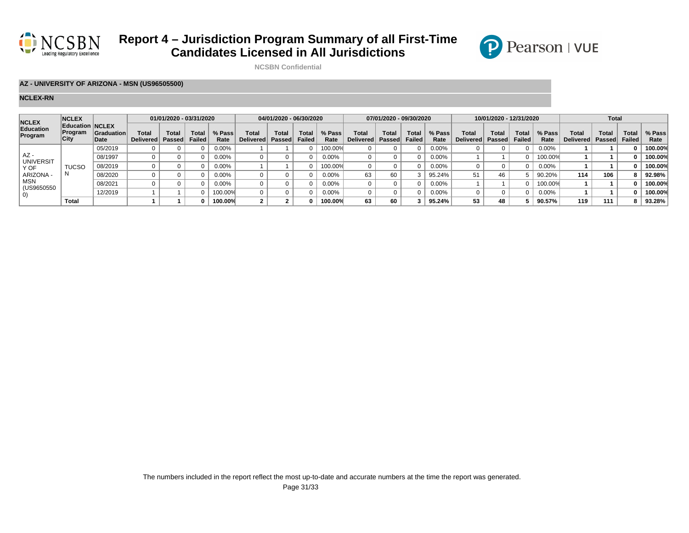



**NCSBN Confidential**

### **AZ - UNIVERSITY OF ARIZONA - MSN (US96505500)**

| <b>NCLEX</b>                                                                       | <b>NCLEX</b>                                            |                            | 01/01/2020 - 03/31/2020   |                        |                        | 04/01/2020 - 06/30/2020 |                    |                 |                | 07/01/2020 - 09/30/2020 |                    |                        |                               | 10/01/2020 - 12/31/2020 |                                    |       |                        | <b>Total</b>   |                    |                |                        |                |
|------------------------------------------------------------------------------------|---------------------------------------------------------|----------------------------|---------------------------|------------------------|------------------------|-------------------------|--------------------|-----------------|----------------|-------------------------|--------------------|------------------------|-------------------------------|-------------------------|------------------------------------|-------|------------------------|----------------|--------------------|----------------|------------------------|----------------|
| Education<br>Program                                                               | <b>Education NCLEX</b><br><b>Program</b><br><b>City</b> | <b>Graduation</b><br>∣Date | Total<br><b>Delivered</b> | <b>Total</b><br>Passed | Total<br><b>Failed</b> | % Pass<br>Rate          | Total<br>Delivered | Total<br>Passed | Tota<br>Failed | % Pass<br>Rate          | Total<br>Delivered | <b>Total</b><br>Passed | <b>Total</b><br><b>Failed</b> | % Pass<br>Rate          | <b>Total</b><br>Delivered   Passed | Total | <b>Total</b><br>Failed | % Pass<br>Rate | Total<br>Delivered | Tota<br>Passed | Total<br><b>Failed</b> | % Pass<br>Rate |
| $AZ -$<br><b>UNIVERSIT</b><br>Y OF<br>ARIZONA -<br>MSN<br>(US9650550<br>$\vert$ O) |                                                         | 05/2019                    |                           |                        |                        | $0.00\%$                |                    |                 |                | 100.00%                 |                    |                        |                               | $0.00\%$                |                                    |       |                        | $0.00\%$       |                    |                |                        | 100.00%        |
|                                                                                    |                                                         | 08/1997                    |                           |                        |                        | $0.00\%$                |                    |                 |                | $0.00\%$                |                    |                        |                               | 0.00%                   |                                    |       |                        | 100.00%        |                    |                |                        | 100.00%        |
|                                                                                    | <b>TUCSO</b>                                            | 08/2019                    |                           |                        |                        | 0.00%                   |                    |                 |                | 100.00%                 |                    |                        |                               | 0.00%                   |                                    |       |                        | 0.00%          |                    |                |                        | 100.00%        |
|                                                                                    |                                                         | 08/2020                    |                           |                        |                        | $0.00\%$                |                    |                 |                | $0.00\%$                | 63                 |                        |                               | 95.24%                  | 51                                 |       |                        | 90.20%         | 114                | 106            |                        | 92.98%         |
|                                                                                    |                                                         | 08/2021                    |                           |                        |                        | 0.00%                   |                    |                 |                | $0.00\%$                |                    |                        |                               | $0.00\%$                |                                    |       |                        | 100.00%        |                    |                |                        | 100.00%        |
|                                                                                    |                                                         | 12/2019                    |                           |                        |                        | 100.00%                 |                    |                 |                | $0.00\%$                |                    |                        |                               | 0.00%                   |                                    |       |                        | $0.00\%$       |                    |                |                        | 100.00%        |
|                                                                                    | <b>Total</b>                                            |                            |                           |                        |                        | 100.00%                 |                    |                 |                | 100.00%                 | 63                 |                        |                               | 95.24%                  | 53                                 |       |                        | 90.57%         | 119                | 111            |                        | 93.28%         |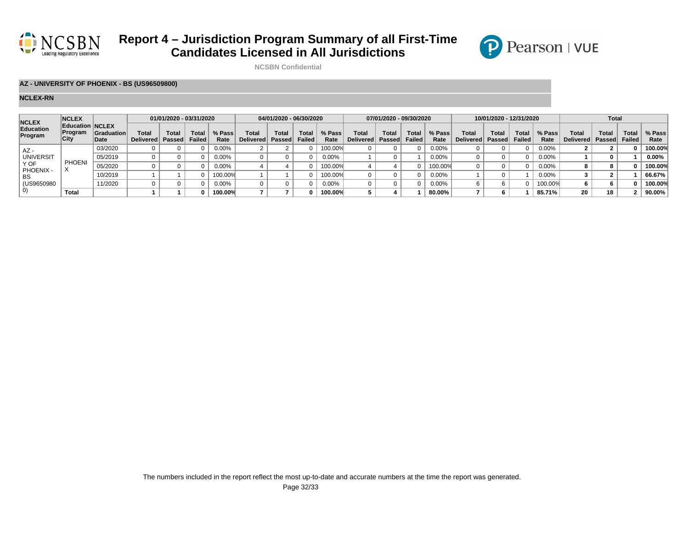



**NCSBN Confidential**

### **AZ - UNIVERSITY OF PHOENIX - BS (US96509800)**

| <b>NCLEX</b><br>Education<br>Program | <b>NCLEX</b><br><b>Education NCLEX</b><br>Program<br>City |                           |                           | 01/01/2020 - 03/31/2020 |                        |                | 04/01/2020 - 06/30/2020 |                   |                |                | 07/01/2020 - 09/30/2020   |      |                               |                | 10/01/2020 - 12/31/2020     |       |                 |                | <b>Total</b>              |                |                 |                |  |
|--------------------------------------|-----------------------------------------------------------|---------------------------|---------------------------|-------------------------|------------------------|----------------|-------------------------|-------------------|----------------|----------------|---------------------------|------|-------------------------------|----------------|-----------------------------|-------|-----------------|----------------|---------------------------|----------------|-----------------|----------------|--|
|                                      |                                                           | <b>Graduation</b><br>Date | Total<br><b>Delivered</b> | <b>Total</b><br>Passed  | Total<br><b>Failed</b> | % Pass<br>Rate | Total<br>Delivered      | Total<br>  Passed | Tota<br>Failed | % Pass<br>Rate | Total<br>Delivered Passed | Tota | <b>Total</b><br><b>Failed</b> | % Pass<br>Rate | Total<br>Delivered   Passed | Total | Total<br>Failed | % Pass<br>Rate | <b>Total</b><br>Delivered | Tota<br>Passed | Total<br>Failed | % Pass<br>Rate |  |
| AZ -<br><b>UNIVERSIT</b>             |                                                           | 03/2020                   |                           |                         |                        | 0.00%          |                         |                   |                | 100.00%        |                           |      |                               | 0.00%          |                             |       |                 | 0.00%          |                           |                |                 | 100.00%        |  |
|                                      |                                                           | 05/2019                   |                           |                         |                        | 0.00%          |                         |                   |                | 0.00%          |                           |      |                               | 0.00%          |                             |       |                 | 0.00%          |                           |                |                 | $0.00\%$       |  |
| Y OF                                 | <b>PHOENI</b>                                             | 05/2020                   |                           |                         |                        | 0.00%          |                         |                   |                | 100.00%        |                           |      |                               | 100.00%        |                             |       |                 | $0.00\%$       |                           |                |                 | 100.00%        |  |
| PHOENIX -<br>BS<br>(US9650980)<br>O) |                                                           | 10/2019                   |                           |                         |                        | 100.00%        |                         |                   |                | 100.00%        |                           |      |                               | $0.00\%$       |                             |       |                 | 0.00%          |                           |                |                 | 66.67%         |  |
|                                      |                                                           | 11/2020                   |                           |                         |                        | $0.00\%$       |                         |                   |                | 0.00%          |                           |      |                               | 0.00%          |                             |       |                 | 100.00%        |                           |                |                 | 100.00%        |  |
|                                      | <b>Total</b>                                              |                           |                           |                         |                        | 100.00%        |                         |                   |                | 100.00%        |                           |      |                               | 80.00%         |                             |       |                 | 85.71%         |                           | 18             |                 | 90.00%         |  |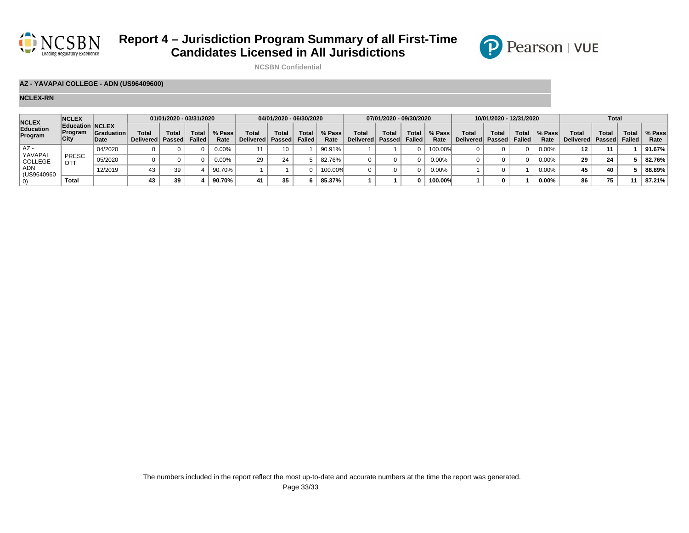



**NCSBN Confidential**

### **AZ - YAVAPAI COLLEGE - ADN (US96409600)**

| <b>NCLEX</b><br>Education<br>Program                     | <b>NCLEX</b>           |                                                     | 01/01/2020 - 03/31/2020            |              |                 |                | 04/01/2020 - 06/30/2020     |              |                               |                | 07/01/2020 - 09/30/2020     |              |                 |                | 10/01/2020 - 12/31/2020 |                           |                               |                | <b>Total</b>              |                        |                 |                |
|----------------------------------------------------------|------------------------|-----------------------------------------------------|------------------------------------|--------------|-----------------|----------------|-----------------------------|--------------|-------------------------------|----------------|-----------------------------|--------------|-----------------|----------------|-------------------------|---------------------------|-------------------------------|----------------|---------------------------|------------------------|-----------------|----------------|
|                                                          | <b>Program</b><br>City | <b>Education NCLEX</b><br><b>Graduation</b><br>Date | <b>Total</b><br>Delivered   Passed | <b>Total</b> | Total<br>Failed | % Pass<br>Rate | Total<br>Delivered   Passed | <b>Total</b> | <b>Total</b><br><b>Failed</b> | % Pass<br>Rate | Total<br>Delivered   Passed | <b>Total</b> | Total<br>Failed | % Pass<br>Rate | Total<br>Delivered      | <b>Total</b><br>∣ Passed∣ | <b>Total</b><br><b>Failed</b> | % Pass<br>Rate | <b>Total</b><br>Delivered | <b>Total</b><br>Passed | Total<br>Failed | % Pass<br>Rate |
| AZ -<br>YAVAPAI<br>COLLEGE -<br>ADN<br>(US9640960)<br>U) |                        | 04/2020                                             |                                    |              |                 | $0.00\%$       |                             |              |                               | 90.91%         |                             |              |                 | 100.00%        |                         |                           |                               | 0.00%          | 12                        |                        |                 | 91.67%         |
|                                                          | <b>PRESC</b><br>OTT    | 05/2020                                             |                                    |              |                 | $0.00\%$       | 29                          | 24           |                               | 82.76%         |                             |              |                 | $0.00\%$       |                         |                           |                               | 0.00%          | 29                        | 24                     |                 | 82.76%         |
|                                                          |                        | 12/2019                                             | 43                                 | 39           |                 | 90.70%         |                             |              |                               | 100.00%        |                             |              |                 | $0.00\%$       |                         |                           |                               | 0.00%          | 45                        | 40                     |                 | 88.89%         |
|                                                          | Total                  |                                                     | 43                                 | 39           |                 | 90.70%         | 41                          | 35           |                               | 85.37%         |                             |              |                 | 100.00%        |                         |                           |                               | 0.00%          | 86                        | 75                     |                 | 87.21%         |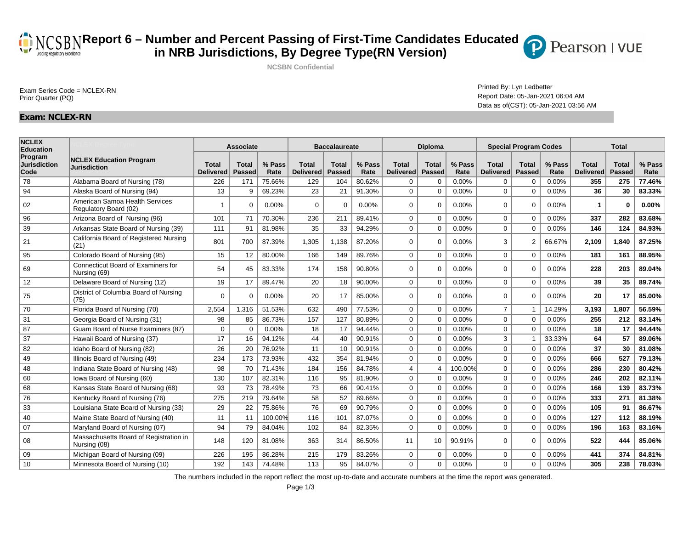Exam Series Code = NCLEX-RN<br>Printed By: Lyn Ledbetter Exam Series Code = NCLEX-RN<br>Prior Quarter (PQ)

### Report Date: 05-Jan-2021 06:04 AM Data as of(CST): 05-Jan-2021 03:56 AM

Pearson | VUE

### **Exam: NCLEX-RN**

| <b>NCLEX</b><br><b>Education</b>       |                                                         |                                  | <b>Associate</b>              |                |                                  | <b>Baccalaureate</b>   |                |                           | Diploma                       |                |                           | <b>Special Program Codes</b> |                | <b>Total</b>                     |                               |                |  |
|----------------------------------------|---------------------------------------------------------|----------------------------------|-------------------------------|----------------|----------------------------------|------------------------|----------------|---------------------------|-------------------------------|----------------|---------------------------|------------------------------|----------------|----------------------------------|-------------------------------|----------------|--|
| Program<br><b>Jurisdiction</b><br>Code | <b>NCLEX Education Program</b><br><b>Jurisdiction</b>   | <b>Total</b><br><b>Delivered</b> | <b>Total</b><br><b>Passed</b> | % Pass<br>Rate | <b>Total</b><br><b>Delivered</b> | Total<br><b>Passed</b> | % Pass<br>Rate | <b>Total</b><br>Delivered | <b>Total</b><br><b>Passed</b> | % Pass<br>Rate | <b>Total</b><br>Delivered | <b>Total</b><br>Passed       | % Pass<br>Rate | <b>Total</b><br><b>Delivered</b> | <b>Total</b><br><b>Passed</b> | % Pass<br>Rate |  |
| 78                                     | Alabama Board of Nursing (78)                           | 226                              | 171                           | 75.66%         | 129                              | 104                    | 80.62%         | $\mathbf 0$               | $\mathbf 0$                   | 0.00%          | 0                         | 0                            | 0.00%          | 355                              | 275                           | 77.46%         |  |
| 94                                     | Alaska Board of Nursing (94)                            | 13                               | 9                             | 69.23%         | 23                               | 21                     | 91.30%         | $\mathbf 0$               | $\mathbf 0$                   | 0.00%          | 0                         | $\mathbf 0$                  | 0.00%          | 36                               | 30                            | 83.33%         |  |
| 02                                     | American Samoa Health Services<br>Regulatory Board (02) | 1                                | $\Omega$                      | 0.00%          | $\Omega$                         | $\Omega$               | 0.00%          | $\Omega$                  | $\Omega$                      | 0.00%          | 0                         | $\Omega$                     | 0.00%          |                                  | $\Omega$                      | 0.00%          |  |
| 96                                     | Arizona Board of Nursing (96)                           | 101                              | 71                            | 70.30%         | 236                              | 211                    | 89.41%         | $\mathbf 0$               | $\Omega$                      | 0.00%          | 0                         | $\mathbf 0$                  | 0.00%          | 337                              | 282                           | 83.68%         |  |
| 39                                     | Arkansas State Board of Nursing (39)                    | 111                              | 91                            | 81.98%         | 35                               | 33                     | 94.29%         | $\Omega$                  | $\mathbf 0$                   | 0.00%          | $\mathbf 0$               | $\Omega$                     | 0.00%          | 146                              | 124                           | 84.93%         |  |
| 21                                     | California Board of Registered Nursing<br>(21)          | 801                              | 700                           | 87.39%         | 1,305                            | 1.138                  | 87.20%         | $\Omega$                  | $\Omega$                      | 0.00%          | 3                         | $\overline{2}$               | 66.67%         | 2,109                            | 1.840                         | 87.25%         |  |
| 95                                     | Colorado Board of Nursing (95)                          | 15                               | 12                            | 80.00%         | 166                              | 149                    | 89.76%         | $\mathbf 0$               | $\mathbf 0$                   | 0.00%          | 0                         | $\mathbf 0$                  | 0.00%          | 181                              | 161                           | 88.95%         |  |
| 69                                     | Connecticut Board of Examiners for<br>Nursing (69)      | 54                               | 45                            | 83.33%         | 174                              | 158                    | 90.80%         | $\Omega$                  | $\Omega$                      | 0.00%          | $\mathbf 0$               | $\Omega$                     | 0.00%          | 228                              | 203                           | 89.04%         |  |
| 12                                     | Delaware Board of Nursing (12)                          | 19                               | 17                            | 89.47%         | 20                               | 18                     | 90.00%         | $\mathbf 0$               | $\mathbf 0$                   | 0.00%          | 0                         | $\mathbf 0$                  | 0.00%          | 39                               | 35                            | 89.74%         |  |
| 75                                     | District of Columbia Board of Nursing<br>(75)           | $\mathbf 0$                      | $\Omega$                      | 0.00%          | 20                               | 17                     | 85.00%         | $\mathbf 0$               | $\mathbf 0$                   | 0.00%          | $\mathbf 0$               | $\mathbf 0$                  | 0.00%          | 20                               | 17                            | 85.00%         |  |
| 70                                     | Florida Board of Nursing (70)                           | 2,554                            | 1,316                         | 51.53%         | 632                              | 490                    | 77.53%         | $\mathbf 0$               | $\mathbf 0$                   | 0.00%          | $\overline{7}$            | $\overline{1}$               | 14.29%         | 3,193                            | 1,807                         | 56.59%         |  |
| 31                                     | Georgia Board of Nursing (31)                           | 98                               | 85                            | 86.73%         | 157                              | 127                    | 80.89%         | $\mathbf 0$               | $\mathbf 0$                   | 0.00%          | 0                         | $\Omega$                     | 0.00%          | 255                              | 212                           | 83.14%         |  |
| 87                                     | Guam Board of Nurse Examiners (87)                      | $\mathbf 0$                      | $\mathbf 0$                   | 0.00%          | 18                               | 17                     | 94.44%         | $\mathbf 0$               | $\mathbf 0$                   | 0.00%          | 0                         | $\mathbf 0$                  | 0.00%          | 18                               | 17                            | 94.44%         |  |
| 37                                     | Hawaii Board of Nursing (37)                            | 17                               | 16                            | 94.12%         | 44                               | 40                     | 90.91%         | $\mathbf 0$               | $\mathbf{0}$                  | 0.00%          | 3                         | $\overline{1}$               | 33.33%         | 64                               | 57                            | 89.06%         |  |
| 82                                     | Idaho Board of Nursing (82)                             | 26                               | 20                            | 76.92%         | 11                               | 10                     | 90.91%         | $\mathbf 0$               | $\mathbf{0}$                  | 0.00%          | $\mathbf 0$               | $\mathbf 0$                  | 0.00%          | 37                               | 30                            | 81.08%         |  |
| 49                                     | Illinois Board of Nursing (49)                          | 234                              | 173                           | 73.93%         | 432                              | 354                    | 81.94%         | $\Omega$                  | $\Omega$                      | $0.00\%$       | $\mathbf 0$               | $\Omega$                     | 0.00%          | 666                              | 527                           | 79.13%         |  |
| 48                                     | Indiana State Board of Nursing (48)                     | 98                               | 70                            | 71.43%         | 184                              | 156                    | 84.78%         | $\overline{4}$            | $\overline{4}$                | 100.00%        | 0                         | $\Omega$                     | 0.00%          | 286                              | 230                           | 80.42%         |  |
| 60                                     | Iowa Board of Nursing (60)                              | 130                              | 107                           | 82.31%         | 116                              | 95                     | 81.90%         | $\mathbf 0$               | $\mathbf 0$                   | 0.00%          | 0                         | 0                            | 0.00%          | 246                              | 202                           | 82.11%         |  |
| 68                                     | Kansas State Board of Nursing (68)                      | 93                               | 73                            | 78.49%         | 73                               | 66                     | 90.41%         | $\mathbf 0$               | $\mathbf 0$                   | 0.00%          | 0                         | $\mathbf 0$                  | 0.00%          | 166                              | 139                           | 83.73%         |  |
| 76                                     | Kentucky Board of Nursing (76)                          | 275                              | 219                           | 79.64%         | 58                               | 52                     | 89.66%         | $\mathbf 0$               | $\mathbf 0$                   | 0.00%          | $\mathbf 0$               | $\mathbf 0$                  | 0.00%          | 333                              | 271                           | 81.38%         |  |
| 33                                     | Louisiana State Board of Nursing (33)                   | 29                               | 22                            | 75.86%         | 76                               | 69                     | 90.79%         | $\mathbf 0$               | $\Omega$                      | 0.00%          | 0                         | $\Omega$                     | 0.00%          | 105                              | 91                            | 86.67%         |  |
| 40                                     | Maine State Board of Nursing (40)                       | 11                               | 11                            | 100.00%        | 116                              | 101                    | 87.07%         | $\mathbf 0$               | $\mathbf 0$                   | 0.00%          | 0                         | $\Omega$                     | 0.00%          | 127                              | 112                           | 88.19%         |  |
| 07                                     | Maryland Board of Nursing (07)                          | 94                               | 79                            | 84.04%         | 102                              | 84                     | 82.35%         | $\mathbf 0$               | $\mathbf 0$                   | 0.00%          | $\mathbf 0$               | 0                            | 0.00%          | 196                              | 163                           | 83.16%         |  |
| 08                                     | Massachusetts Board of Registration in<br>Nursing (08)  | 148                              | 120                           | 81.08%         | 363                              | 314                    | 86.50%         | 11                        | 10                            | 90.91%         | 0                         | $\Omega$                     | 0.00%          | 522                              | 444                           | 85.06%         |  |
| 09                                     | Michigan Board of Nursing (09)                          | 226                              | 195                           | 86.28%         | 215                              | 179                    | 83.26%         | $\mathbf 0$               | $\mathbf 0$                   | 0.00%          | $\mathbf 0$               | $\mathbf 0$                  | 0.00%          | 441                              | 374                           | 84.81%         |  |
| 10                                     | Minnesota Board of Nursing (10)                         | 192                              | 143                           | 74.48%         | 113                              | 95                     | 84.07%         | $\Omega$                  | $\mathbf 0$                   | 0.00%          | $\Omega$                  | $\mathbf 0$                  | 0.00%          | 305                              | 238                           | 78.03%         |  |

The numbers included in the report reflect the most up-to-date and accurate numbers at the time the report was generated.

**Report 6 – Number and Percent Passing of First-Time Candidates Educated in NRB Jurisdictions, By Degree Type(RN Version) NCSBN Confidential**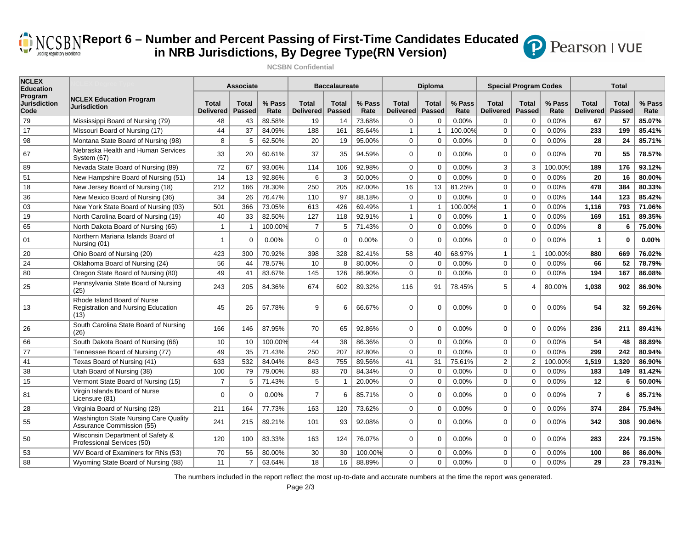## **(B)** NCSBNReport 6 – Number and Percent Passing of First-Time Candidates Educated **in NRB Jurisdictions, By Degree Type(RN Version)**

**NCSBN Confidential**



**NCLEX Education Program Jurisdiction Code NCLEX Education Program Jurisdiction Associate Baccalaureate Diploma Special Program Codes Total Total Delivered Total Passed % Pass Rate Total Delivered Total Passed % Pass Rate Total Delivered Total Passed % Pass Rate Total Delivered Total Passed % Pass Rate Total Delivered Total Passed % Pass Rate** 79 17 98 67 89 51 18 36 03 19 65 01 20 24 80 25 13 26 66 77 41 38 15 81 28 55 50 53 88 Mississippi Board of Nursing (79) Missouri Board of Nursing (17) Montana State Board of Nursing (98) Nebraska Health and Human Services System (67) Nevada State Board of Nursing (89) New Hampshire Board of Nursing (51) New Jersey Board of Nursing (18) New Mexico Board of Nursing (36) New York State Board of Nursing (03) North Carolina Board of Nursing (19) North Dakota Board of Nursing (65) Northern Mariana Islands Board of Nursing (01) Ohio Board of Nursing (20) Oklahoma Board of Nursing (24) Oregon State Board of Nursing (80) Pennsylvania State Board of Nursing (25) Rhode Island Board of Nurse Registration and Nursing Education  $(13)$ South Carolina State Board of Nursing (26) South Dakota Board of Nursing (66) Tennessee Board of Nursing (77) Texas Board of Nursing (41) Utah Board of Nursing (38) Vermont State Board of Nursing (15) Virgin Islands Board of Nurse Licensure (81) Virginia Board of Nursing (28) Washington State Nursing Care Quality Assurance Commission (55) Wisconsin Department of Safety & Professional Services (50) WV Board of Examiners for RNs (53) Wyoming State Board of Nursing (88) 48 43 89.58% 19 14 73.68% 0 0 0.00% 0 0 0.00% **67 57 85.07%** 44 37 84.09% 188 161 85.64% 1 1 100.00% 0 0 0.00% **233 199 85.41%** 8 5 62.50% 20 19 95.00% 0 0 0.00% 0 0 0.00% **28 24 85.71%** 33 20 60.61% 37 35 94.59% 0 0 0.00% 0 0 0.00% **70 55 78.57%** 72 67 93.06% 114 106 92.98% 0 0 0.00% 3 3 100.00% **189 176 93.12%** 14 13 92.86% 6 3 50.00% 0 0 0.00% 0 0 0.00% **20 16 80.00%** 212 166 78.30% 250 205 82.00% 16 13 81.25% 0 0 0.00% **478 384 80.33%** 34 26 76.47% 110 97 88.18% 0 0 0.00% 0 0 0.00% **144 123 85.42%** 501 366 73.05% 613 426 69.49% 1 1 100.00% 1 0 0.00% **1,116 793 71.06%** 40 33 82.50% 127 118 92.91% 1 0 0.00% 1 0 0.00% **169 151 89.35%** 1 1 100.00% 7 5 71.43% 0 0 0.00% 0 0 0.00% **8 6 75.00%** 1 0 0.00% 0 0 0.00% 0 0 0.00% 0 0 0.00% **1 0 0.00%** 423 300 70.92% 398 328 82.41% 58 40 68.97% 1 1 100.00% **880 669 76.02%** 56 44 78.57% 10 8 80.00% 0 0 0.00% 0 0 0.00% **66 52 78.79%** 49 41 83.67% 145 126 86.90% 0 0 0.00% 0 0 0.00% **194 167 86.08%** 243 205 84.36% 674 602 89.32% 116 91 78.45% 5 4 80.00% **1,038 902 86.90%** 45 26 57.78% 9 6 66.67% 0 0 0.00% 0 0 0.00% **54 32 59.26%** 166 146 87.95% 70 65 92.86% 0 0 0.00% 0 0 0.00% **236 211 89.41%** 10 10 100.00% 44 38 86.36% 0 0 0.00% 0 0 0.00% **54 48 88.89%** 49 35 71.43% 250 207 82.80% 0 0 0.00% 0 0 0.00% **299 242 80.94%** 633 532 84.04% 843 755 89.56% 41 31 75.61% 2 2 100.00% **1,519 1,320 86.90%** 100 79 79.00% 83 70 84.34% 0 0 0.00% 0 0 0.00% **183 149 81.42%** 7 5 71.43% 5 1 20.00% 0 0 0.00% 0 0 0.00% **12 6 50.00%** 0 0 0.00% 7 6 85.71% 0 0 0.00% 0 0 0.00% **7 6 85.71%** 211 164 77.73% 163 120 73.62% 0 0 0.00% 0 0 0.00% **374 284 75.94%** 241 215 89.21% 101 93 92.08% 0 0 0.00% 0 0 0.00% **342 308 90.06%** 120 100 83.33% 163 124 76.07% 0 0 0.00% 0 0 0.00% **283 224 79.15%** 70 56 80.00% 30 30 100.00% 0 0 0.00% 0 0 0.00% **100 86 86.00%** 11 7 63.64% 18 16 88.89% 0 0 0.00% 0 0 0.00% **29 23 79.31%**